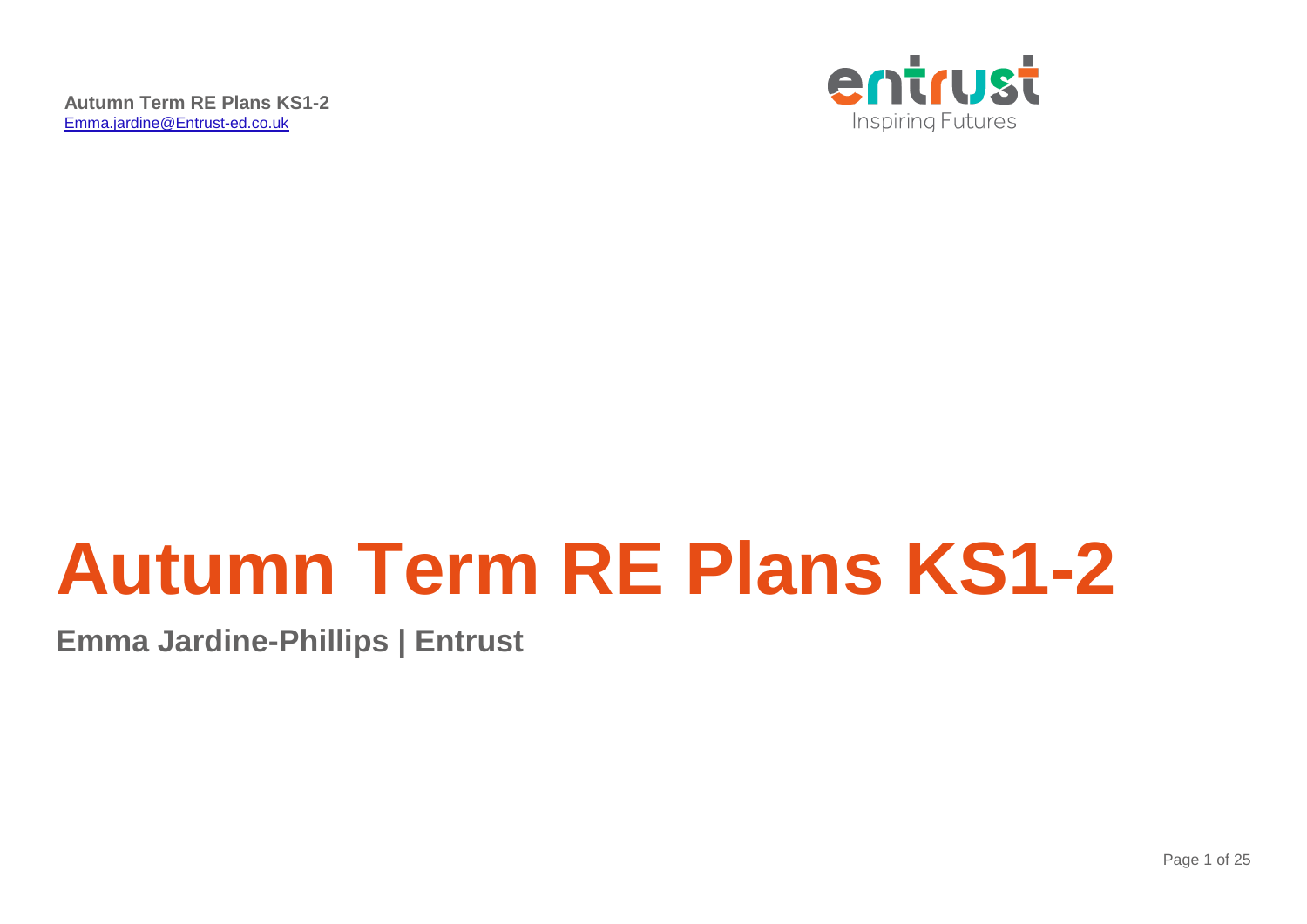

# **Autumn Term RE Plans KS1-2**

**Emma Jardine-Phillips | Entrust**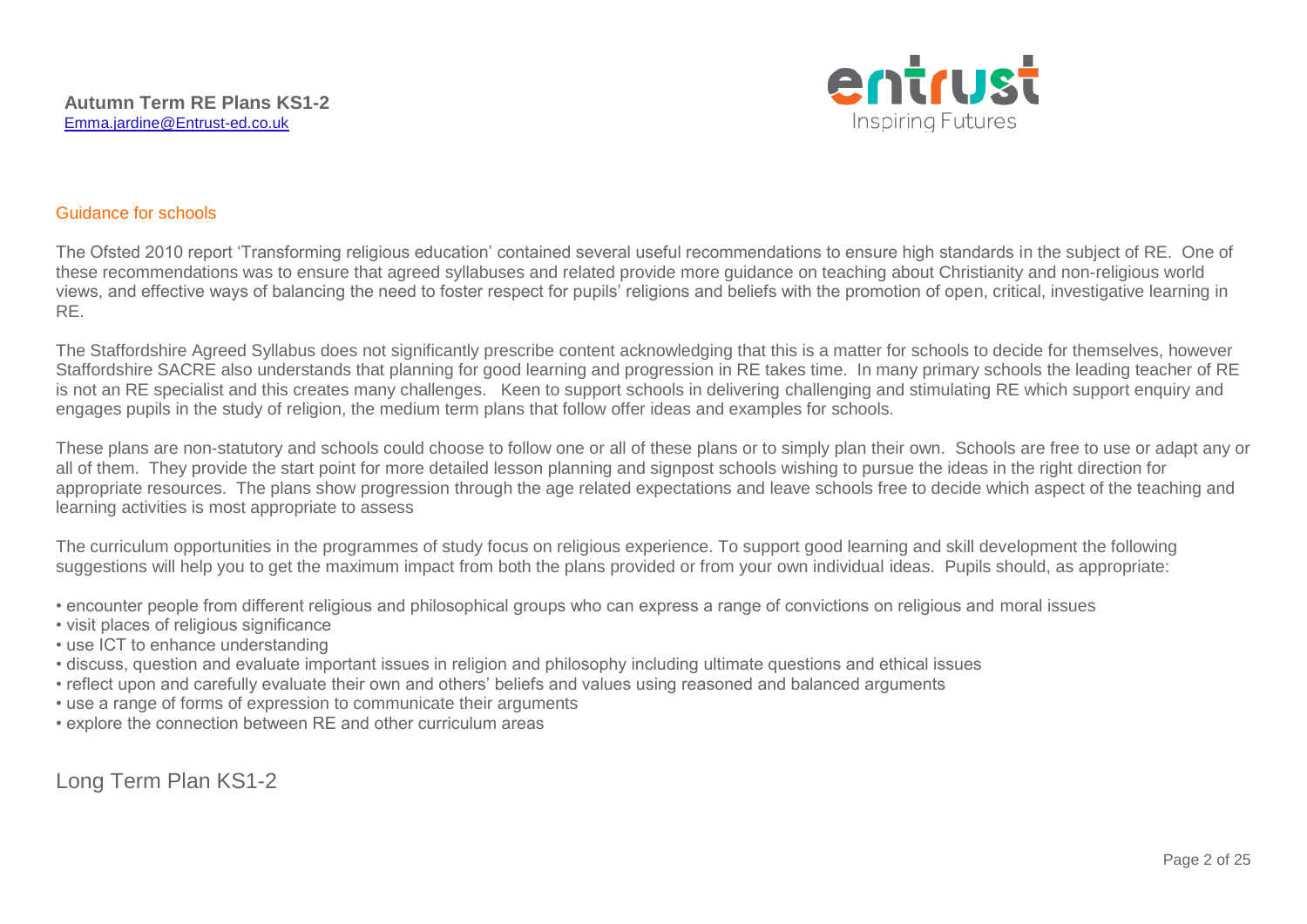

#### Guidance for schools

The Ofsted 2010 report 'Transforming religious education' contained several useful recommendations to ensure high standards in the subject of RE. One of these recommendations was to ensure that agreed syllabuses and related provide more guidance on teaching about Christianity and non-religious world views, and effective ways of balancing the need to foster respect for pupils' religions and beliefs with the promotion of open, critical, investigative learning in RE.

The Staffordshire Agreed Syllabus does not significantly prescribe content acknowledging that this is a matter for schools to decide for themselves, however Staffordshire SACRE also understands that planning for good learning and progression in RE takes time. In many primary schools the leading teacher of RE is not an RE specialist and this creates many challenges. Keen to support schools in delivering challenging and stimulating RE which support enquiry and engages pupils in the study of religion, the medium term plans that follow offer ideas and examples for schools.

These plans are non-statutory and schools could choose to follow one or all of these plans or to simply plan their own. Schools are free to use or adapt any or all of them. They provide the start point for more detailed lesson planning and signpost schools wishing to pursue the ideas in the right direction for appropriate resources. The plans show progression through the age related expectations and leave schools free to decide which aspect of the teaching and learning activities is most appropriate to assess

The curriculum opportunities in the programmes of study focus on religious experience. To support good learning and skill development the following suggestions will help you to get the maximum impact from both the plans provided or from your own individual ideas. Pupils should, as appropriate:

- encounter people from different religious and philosophical groups who can express a range of convictions on religious and moral issues
- visit places of religious significance
- use ICT to enhance understanding
- discuss, question and evaluate important issues in religion and philosophy including ultimate questions and ethical issues
- reflect upon and carefully evaluate their own and others' beliefs and values using reasoned and balanced arguments
- use a range of forms of expression to communicate their arguments
- explore the connection between RE and other curriculum areas

Long Term Plan KS1-2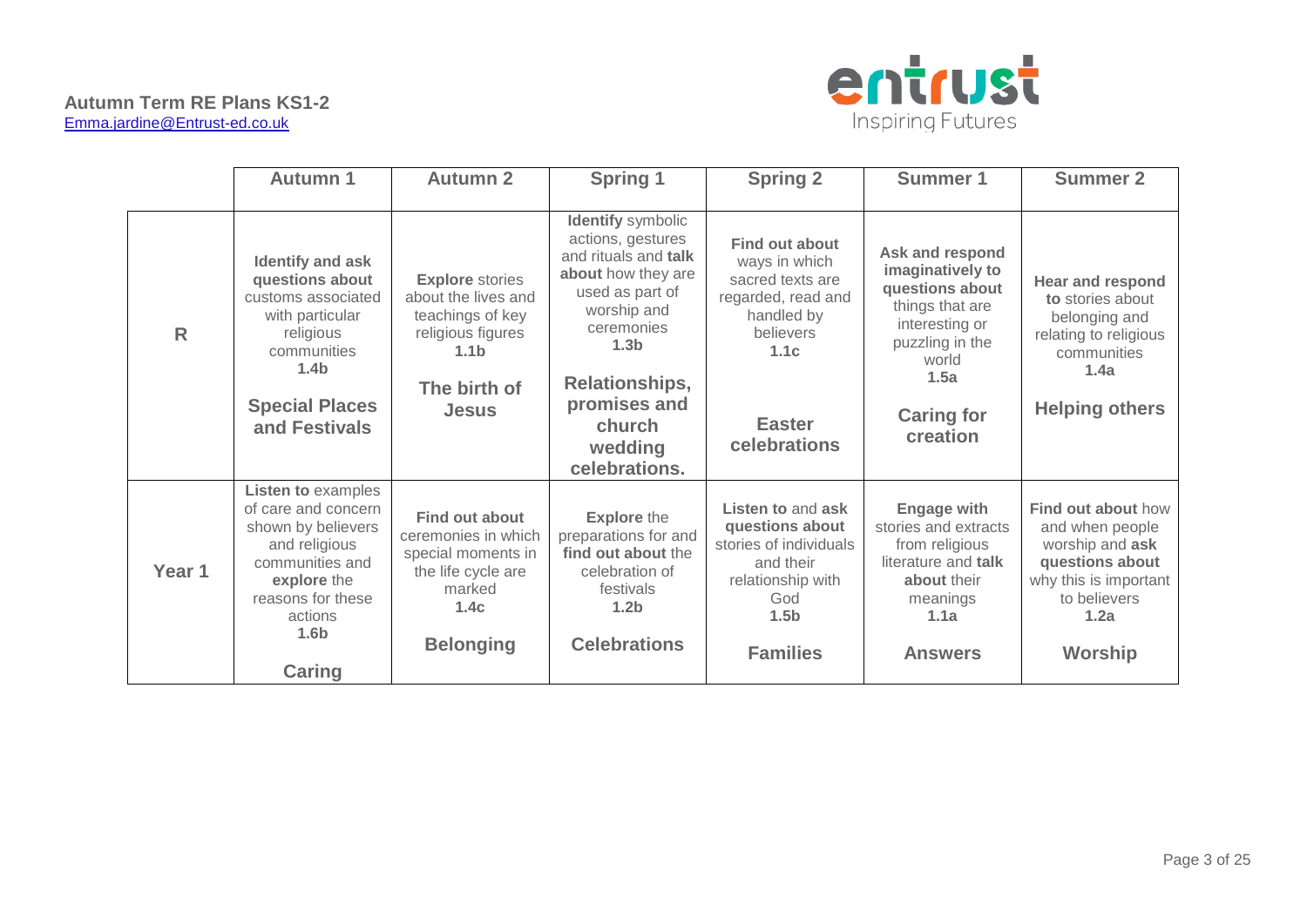

|              | <b>Autumn 1</b>                                                                                                                                                                         | <b>Autumn 2</b>                                                                                                                            | <b>Spring 1</b>                                                                                                                                                                                                                         | <b>Spring 2</b>                                                                                                                                      | <b>Summer 1</b>                                                                                                                                                  | <b>Summer 2</b>                                                                                                                                       |
|--------------|-----------------------------------------------------------------------------------------------------------------------------------------------------------------------------------------|--------------------------------------------------------------------------------------------------------------------------------------------|-----------------------------------------------------------------------------------------------------------------------------------------------------------------------------------------------------------------------------------------|------------------------------------------------------------------------------------------------------------------------------------------------------|------------------------------------------------------------------------------------------------------------------------------------------------------------------|-------------------------------------------------------------------------------------------------------------------------------------------------------|
| $\mathsf{R}$ | Identify and ask<br>questions about<br>customs associated<br>with particular<br>religious<br>communities<br>1.4 <sub>b</sub><br><b>Special Places</b><br>and Festivals                  | <b>Explore</b> stories<br>about the lives and<br>teachings of key<br>religious figures<br>1.1 <sub>b</sub><br>The birth of<br><b>Jesus</b> | <b>Identify</b> symbolic<br>actions, gestures<br>and rituals and talk<br>about how they are<br>used as part of<br>worship and<br>ceremonies<br>1.3 <sub>b</sub><br>Relationships,<br>promises and<br>church<br>wedding<br>celebrations. | <b>Find out about</b><br>ways in which<br>sacred texts are<br>regarded, read and<br>handled by<br>believers<br>1.1c<br><b>Easter</b><br>celebrations | Ask and respond<br>imaginatively to<br>questions about<br>things that are<br>interesting or<br>puzzling in the<br>world<br>1.5a<br><b>Caring for</b><br>creation | <b>Hear and respond</b><br>to stories about<br>belonging and<br>relating to religious<br>communities<br>1.4a<br><b>Helping others</b>                 |
| Year 1       | <b>Listen to examples</b><br>of care and concern<br>shown by believers<br>and religious<br>communities and<br>explore the<br>reasons for these<br>actions<br>1.6 <sub>b</sub><br>Caring | <b>Find out about</b><br>ceremonies in which<br>special moments in<br>the life cycle are<br>marked<br>1.4c<br><b>Belonging</b>             | <b>Explore</b> the<br>preparations for and<br>find out about the<br>celebration of<br>festivals<br>1.2 <sub>b</sub><br><b>Celebrations</b>                                                                                              | Listen to and ask<br>questions about<br>stories of individuals<br>and their<br>relationship with<br>God<br>1.5 <sub>b</sub><br><b>Families</b>       | <b>Engage with</b><br>stories and extracts<br>from religious<br>literature and talk<br>about their<br>meanings<br>1.1a<br><b>Answers</b>                         | <b>Find out about how</b><br>and when people<br>worship and ask<br>questions about<br>why this is important<br>to believers<br>1.2a<br><b>Worship</b> |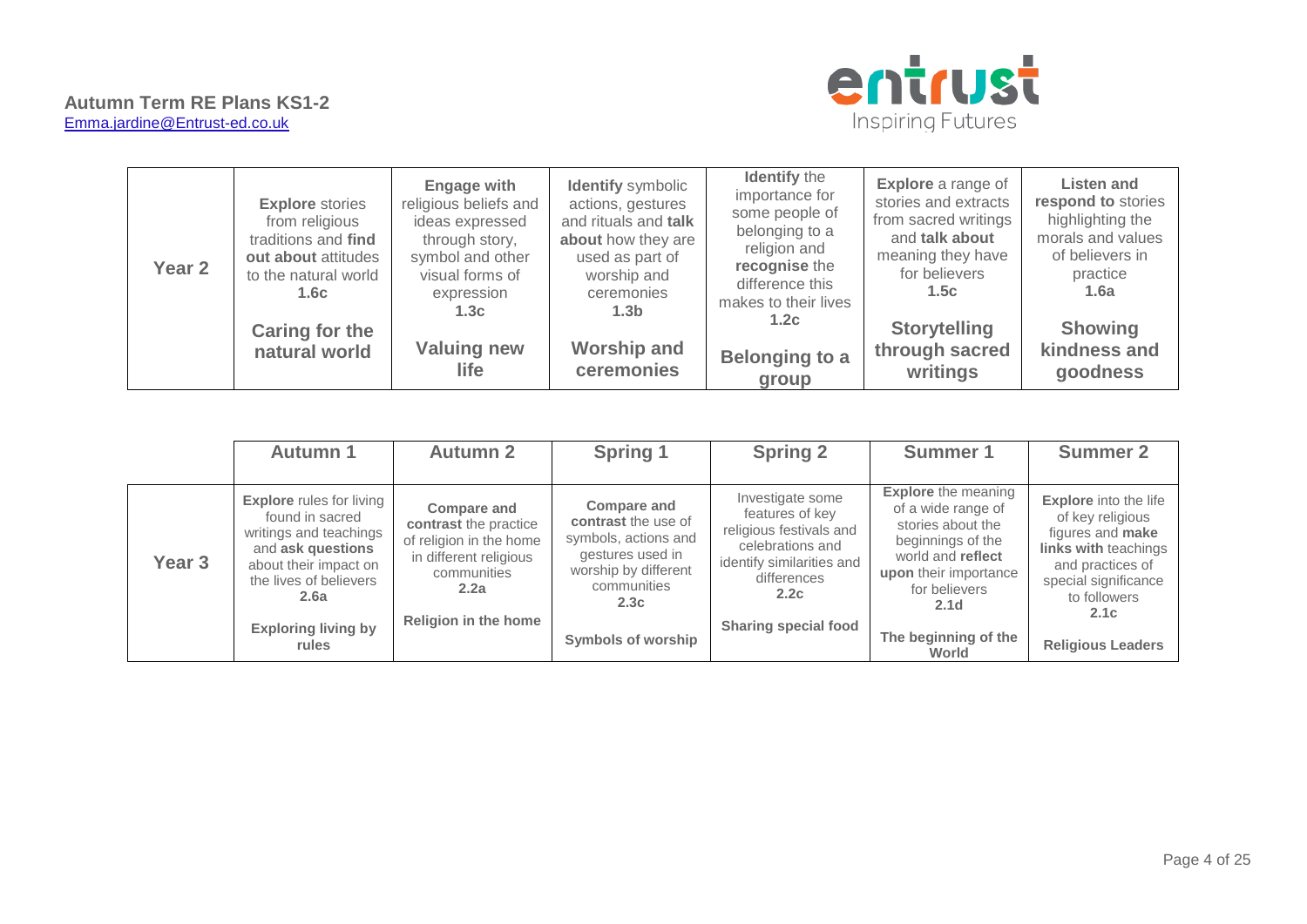



| Year <sub>2</sub> | <b>Explore</b> stories<br>from religious<br>traditions and find<br>out about attitudes<br>to the natural world<br>1.6c | <b>Engage with</b><br>religious beliefs and<br>ideas expressed<br>through story,<br>symbol and other<br>visual forms of<br>expression<br>1.3c | <b>Identify</b> symbolic<br>actions, gestures<br>and rituals and talk<br>about how they are<br>used as part of<br>worship and<br>ceremonies<br>1.3 <sub>b</sub> | <b>Identify the</b><br>importance for<br>some people of<br>belonging to a<br>religion and<br>recognise the<br>difference this<br>makes to their lives<br>1.2c | <b>Explore</b> a range of<br>stories and extracts<br>from sacred writings<br>and talk about<br>meaning they have<br>for believers<br>1.5c | Listen and<br>respond to stories<br>highlighting the<br>morals and values<br>of believers in<br>practice<br>1.6a |
|-------------------|------------------------------------------------------------------------------------------------------------------------|-----------------------------------------------------------------------------------------------------------------------------------------------|-----------------------------------------------------------------------------------------------------------------------------------------------------------------|---------------------------------------------------------------------------------------------------------------------------------------------------------------|-------------------------------------------------------------------------------------------------------------------------------------------|------------------------------------------------------------------------------------------------------------------|
|                   | Caring for the<br>natural world                                                                                        | <b>Valuing new</b><br><b>life</b>                                                                                                             | <b>Worship and</b><br>ceremonies                                                                                                                                | <b>Belonging to a</b><br>group                                                                                                                                | <b>Storytelling</b><br>through sacred<br>writings                                                                                         | <b>Showing</b><br>kindness and<br>goodness                                                                       |

|                   | <b>Autumn 1</b>                                                                                                                                                                                     | <b>Autumn 2</b>                                                                                                                                 | <b>Spring 1</b>                                                                                                                                                   | <b>Spring 2</b>                                                                                                                                                       | Summer 1                                                                                                                                                                                                       | <b>Summer 2</b>                                                                                                                                                                                     |
|-------------------|-----------------------------------------------------------------------------------------------------------------------------------------------------------------------------------------------------|-------------------------------------------------------------------------------------------------------------------------------------------------|-------------------------------------------------------------------------------------------------------------------------------------------------------------------|-----------------------------------------------------------------------------------------------------------------------------------------------------------------------|----------------------------------------------------------------------------------------------------------------------------------------------------------------------------------------------------------------|-----------------------------------------------------------------------------------------------------------------------------------------------------------------------------------------------------|
| Year <sub>3</sub> | <b>Explore</b> rules for living<br>found in sacred<br>writings and teachings<br>and ask questions<br>about their impact on<br>the lives of believers<br>2.6a<br><b>Exploring living by</b><br>rules | <b>Compare and</b><br>contrast the practice<br>of religion in the home<br>in different religious<br>communities<br>2.2a<br>Religion in the home | <b>Compare and</b><br>contrast the use of<br>symbols, actions and<br>gestures used in<br>worship by different<br>communities<br>2.3c<br><b>Symbols of worship</b> | Investigate some<br>features of key<br>religious festivals and<br>celebrations and<br>identify similarities and<br>differences<br>2.2c<br><b>Sharing special food</b> | <b>Explore</b> the meaning<br>of a wide range of<br>stories about the<br>beginnings of the<br>world and reflect<br>upon their importance<br>for believers<br>2.1 <sub>d</sub><br>The beginning of the<br>World | <b>Explore</b> into the life<br>of key religious<br>figures and <b>make</b><br>links with teachings<br>and practices of<br>special significance<br>to followers<br>2.1c<br><b>Religious Leaders</b> |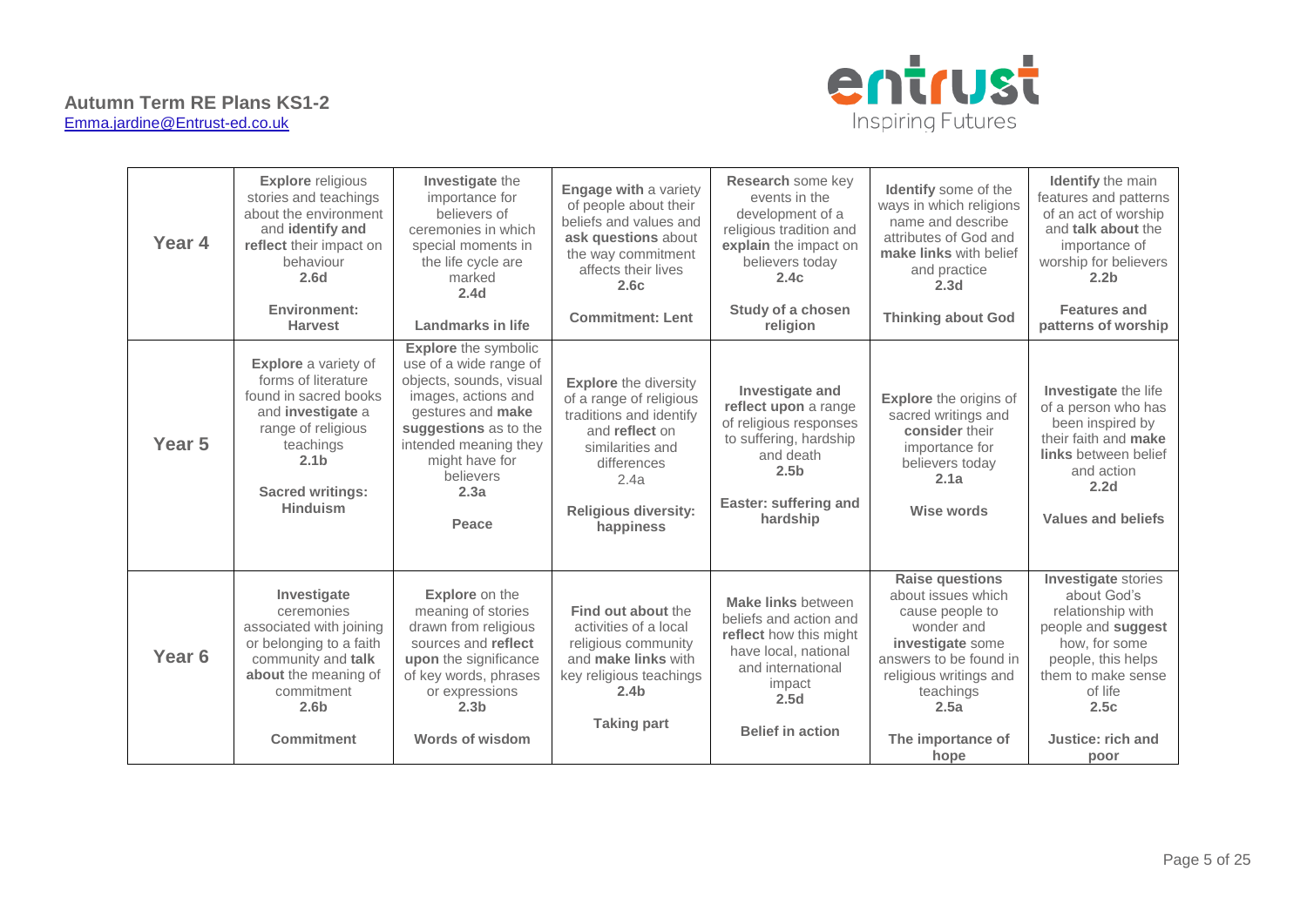

| Year 4            | <b>Explore</b> religious<br>stories and teachings<br>about the environment<br>and identify and<br>reflect their impact on<br>behaviour<br>2.6 <sub>d</sub><br>Environment:<br><b>Harvest</b>                 | Investigate the<br>importance for<br>believers of<br>ceremonies in which<br>special moments in<br>the life cycle are<br>marked<br>2.4 <sub>d</sub><br><b>Landmarks in life</b>                                                 | <b>Engage with a variety</b><br>of people about their<br>beliefs and values and<br>ask questions about<br>the way commitment<br>affects their lives<br>2.6c<br><b>Commitment: Lent</b>      | Research some key<br>events in the<br>development of a<br>religious tradition and<br>explain the impact on<br>believers today<br>2.4c<br>Study of a chosen<br>religion   | <b>Identify</b> some of the<br>ways in which religions<br>name and describe<br>attributes of God and<br>make links with belief<br>and practice<br>2.3 <sub>d</sub><br><b>Thinking about God</b>         | <b>Identify</b> the main<br>features and patterns<br>of an act of worship<br>and talk about the<br>importance of<br>worship for believers<br>2.2 <sub>b</sub><br><b>Features and</b><br>patterns of worship |
|-------------------|--------------------------------------------------------------------------------------------------------------------------------------------------------------------------------------------------------------|--------------------------------------------------------------------------------------------------------------------------------------------------------------------------------------------------------------------------------|---------------------------------------------------------------------------------------------------------------------------------------------------------------------------------------------|--------------------------------------------------------------------------------------------------------------------------------------------------------------------------|---------------------------------------------------------------------------------------------------------------------------------------------------------------------------------------------------------|-------------------------------------------------------------------------------------------------------------------------------------------------------------------------------------------------------------|
| Year <sub>5</sub> | <b>Explore</b> a variety of<br>forms of literature<br>found in sacred books<br>and <b>investigate</b> a<br>range of religious<br>teachings<br>2.1 <sub>b</sub><br><b>Sacred writings:</b><br><b>Hinduism</b> | <b>Explore</b> the symbolic<br>use of a wide range of<br>objects, sounds, visual<br>images, actions and<br>gestures and make<br>suggestions as to the<br>intended meaning they<br>might have for<br>believers<br>2.3a<br>Peace | <b>Explore</b> the diversity<br>of a range of religious<br>traditions and identify<br>and reflect on<br>similarities and<br>differences<br>2.4a<br><b>Religious diversity:</b><br>happiness | <b>Investigate and</b><br>reflect upon a range<br>of religious responses<br>to suffering, hardship<br>and death<br>2.5 <sub>b</sub><br>Easter: suffering and<br>hardship | <b>Explore</b> the origins of<br>sacred writings and<br>consider their<br>importance for<br>believers today<br>2.1a<br>Wise words                                                                       | Investigate the life<br>of a person who has<br>been inspired by<br>their faith and make<br><b>links</b> between belief<br>and action<br>2.2 <sub>d</sub><br>Values and beliefs                              |
| Year <sub>6</sub> | Investigate<br>ceremonies<br>associated with joining<br>or belonging to a faith<br>community and talk<br>about the meaning of<br>commitment<br>2.6 <sub>b</sub><br><b>Commitment</b>                         | <b>Explore</b> on the<br>meaning of stories<br>drawn from religious<br>sources and reflect<br>upon the significance<br>of key words, phrases<br>or expressions<br>2.3 <sub>b</sub><br><b>Words of wisdom</b>                   | Find out about the<br>activities of a local<br>religious community<br>and make links with<br>key religious teachings<br>2.4 <sub>b</sub><br><b>Taking part</b>                              | <b>Make links between</b><br>beliefs and action and<br>reflect how this might<br>have local, national<br>and international<br>impact<br>2.5d<br><b>Belief in action</b>  | <b>Raise questions</b><br>about issues which<br>cause people to<br>wonder and<br>investigate some<br>answers to be found in<br>religious writings and<br>teachings<br>2.5a<br>The importance of<br>hope | <b>Investigate</b> stories<br>about God's<br>relationship with<br>people and suggest<br>how, for some<br>people, this helps<br>them to make sense<br>of life<br>2.5c<br>Justice: rich and<br>poor           |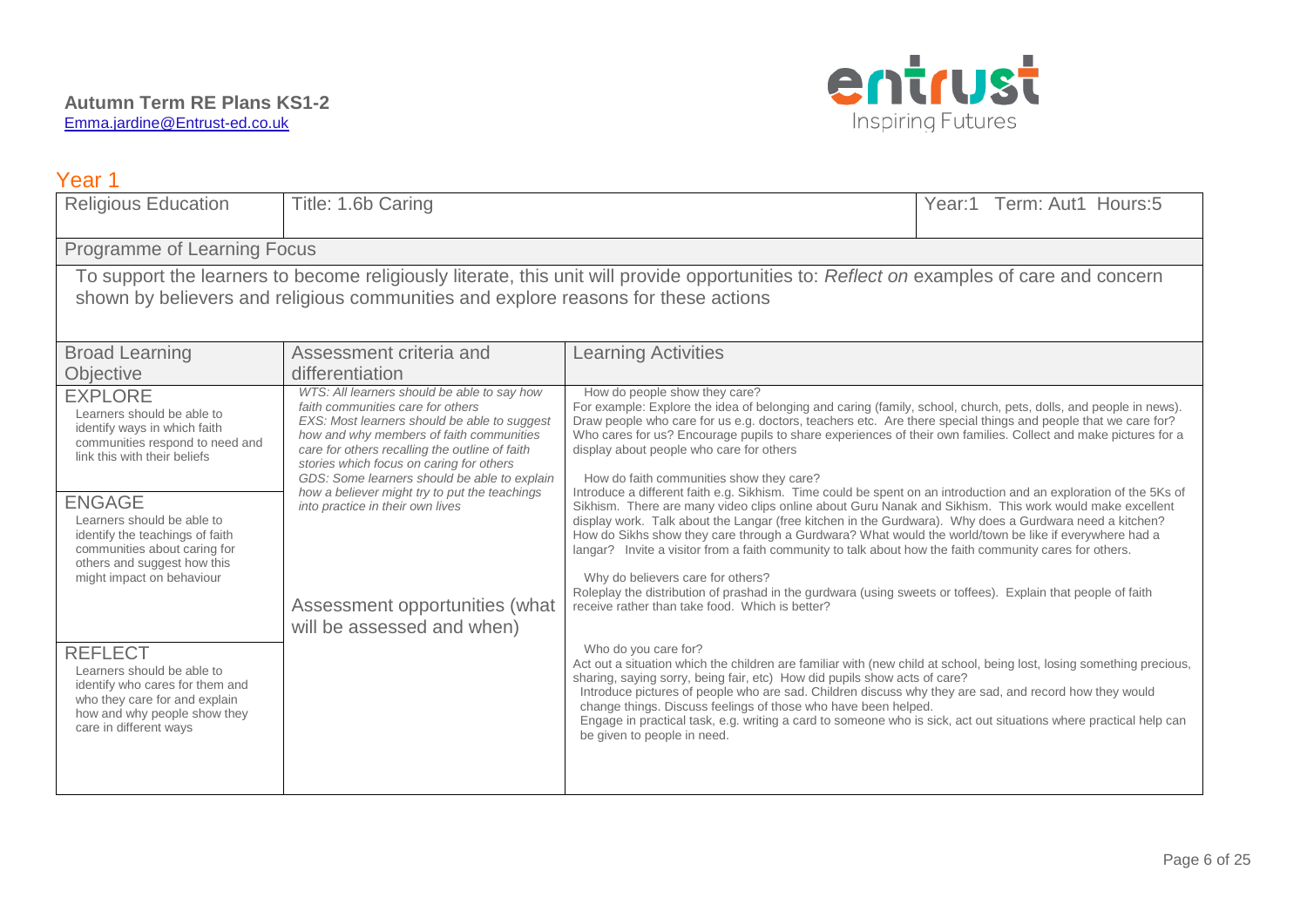

| Year 1                                                                                                                                                                                                                                                                                                                        |                                                                                                                                                                                                                                                                                                                                                                                                                                                                                 |                                                                                                                                                                                                                                                                                                                                                                                                                                                                                                                                                                                                                                                                                                                                                                                                                                                                                                                                                                                                                                                                                                                                                                                                                                                     |                           |
|-------------------------------------------------------------------------------------------------------------------------------------------------------------------------------------------------------------------------------------------------------------------------------------------------------------------------------|---------------------------------------------------------------------------------------------------------------------------------------------------------------------------------------------------------------------------------------------------------------------------------------------------------------------------------------------------------------------------------------------------------------------------------------------------------------------------------|-----------------------------------------------------------------------------------------------------------------------------------------------------------------------------------------------------------------------------------------------------------------------------------------------------------------------------------------------------------------------------------------------------------------------------------------------------------------------------------------------------------------------------------------------------------------------------------------------------------------------------------------------------------------------------------------------------------------------------------------------------------------------------------------------------------------------------------------------------------------------------------------------------------------------------------------------------------------------------------------------------------------------------------------------------------------------------------------------------------------------------------------------------------------------------------------------------------------------------------------------------|---------------------------|
| <b>Religious Education</b>                                                                                                                                                                                                                                                                                                    | Title: 1.6b Caring                                                                                                                                                                                                                                                                                                                                                                                                                                                              |                                                                                                                                                                                                                                                                                                                                                                                                                                                                                                                                                                                                                                                                                                                                                                                                                                                                                                                                                                                                                                                                                                                                                                                                                                                     | Year:1 Term: Aut1 Hours:5 |
| Programme of Learning Focus                                                                                                                                                                                                                                                                                                   |                                                                                                                                                                                                                                                                                                                                                                                                                                                                                 |                                                                                                                                                                                                                                                                                                                                                                                                                                                                                                                                                                                                                                                                                                                                                                                                                                                                                                                                                                                                                                                                                                                                                                                                                                                     |                           |
|                                                                                                                                                                                                                                                                                                                               | shown by believers and religious communities and explore reasons for these actions                                                                                                                                                                                                                                                                                                                                                                                              | To support the learners to become religiously literate, this unit will provide opportunities to: Reflect on examples of care and concern                                                                                                                                                                                                                                                                                                                                                                                                                                                                                                                                                                                                                                                                                                                                                                                                                                                                                                                                                                                                                                                                                                            |                           |
| <b>Broad Learning</b>                                                                                                                                                                                                                                                                                                         | Assessment criteria and                                                                                                                                                                                                                                                                                                                                                                                                                                                         | <b>Learning Activities</b>                                                                                                                                                                                                                                                                                                                                                                                                                                                                                                                                                                                                                                                                                                                                                                                                                                                                                                                                                                                                                                                                                                                                                                                                                          |                           |
| Objective                                                                                                                                                                                                                                                                                                                     | differentiation                                                                                                                                                                                                                                                                                                                                                                                                                                                                 |                                                                                                                                                                                                                                                                                                                                                                                                                                                                                                                                                                                                                                                                                                                                                                                                                                                                                                                                                                                                                                                                                                                                                                                                                                                     |                           |
| <b>EXPLORE</b><br>Learners should be able to<br>identify ways in which faith<br>communities respond to need and<br>link this with their beliefs<br><b>ENGAGE</b><br>Learners should be able to<br>identify the teachings of faith<br>communities about caring for<br>others and suggest how this<br>might impact on behaviour | WTS: All learners should be able to say how<br>faith communities care for others<br>EXS: Most learners should be able to suggest<br>how and why members of faith communities<br>care for others recalling the outline of faith<br>stories which focus on caring for others<br>GDS: Some learners should be able to explain<br>how a believer might try to put the teachings<br>into practice in their own lives<br>Assessment opportunities (what<br>will be assessed and when) | How do people show they care?<br>For example: Explore the idea of belonging and caring (family, school, church, pets, dolls, and people in news).<br>Draw people who care for us e.g. doctors, teachers etc. Are there special things and people that we care for?<br>Who cares for us? Encourage pupils to share experiences of their own families. Collect and make pictures for a<br>display about people who care for others<br>How do faith communities show they care?<br>Introduce a different faith e.g. Sikhism. Time could be spent on an introduction and an exploration of the 5Ks of<br>Sikhism. There are many video clips online about Guru Nanak and Sikhism. This work would make excellent<br>display work. Talk about the Langar (free kitchen in the Gurdwara). Why does a Gurdwara need a kitchen?<br>How do Sikhs show they care through a Gurdwara? What would the world/town be like if everywhere had a<br>langar? Invite a visitor from a faith community to talk about how the faith community cares for others.<br>Why do believers care for others?<br>Roleplay the distribution of prashad in the gurdwara (using sweets or toffees). Explain that people of faith<br>receive rather than take food. Which is better? |                           |
| <b>REFLECT</b><br>Learners should be able to<br>identify who cares for them and<br>who they care for and explain<br>how and why people show they<br>care in different ways                                                                                                                                                    |                                                                                                                                                                                                                                                                                                                                                                                                                                                                                 | Who do you care for?<br>Act out a situation which the children are familiar with (new child at school, being lost, losing something precious,<br>sharing, saying sorry, being fair, etc) How did pupils show acts of care?<br>Introduce pictures of people who are sad. Children discuss why they are sad, and record how they would<br>change things. Discuss feelings of those who have been helped.<br>Engage in practical task, e.g. writing a card to someone who is sick, act out situations where practical help can<br>be given to people in need.                                                                                                                                                                                                                                                                                                                                                                                                                                                                                                                                                                                                                                                                                          |                           |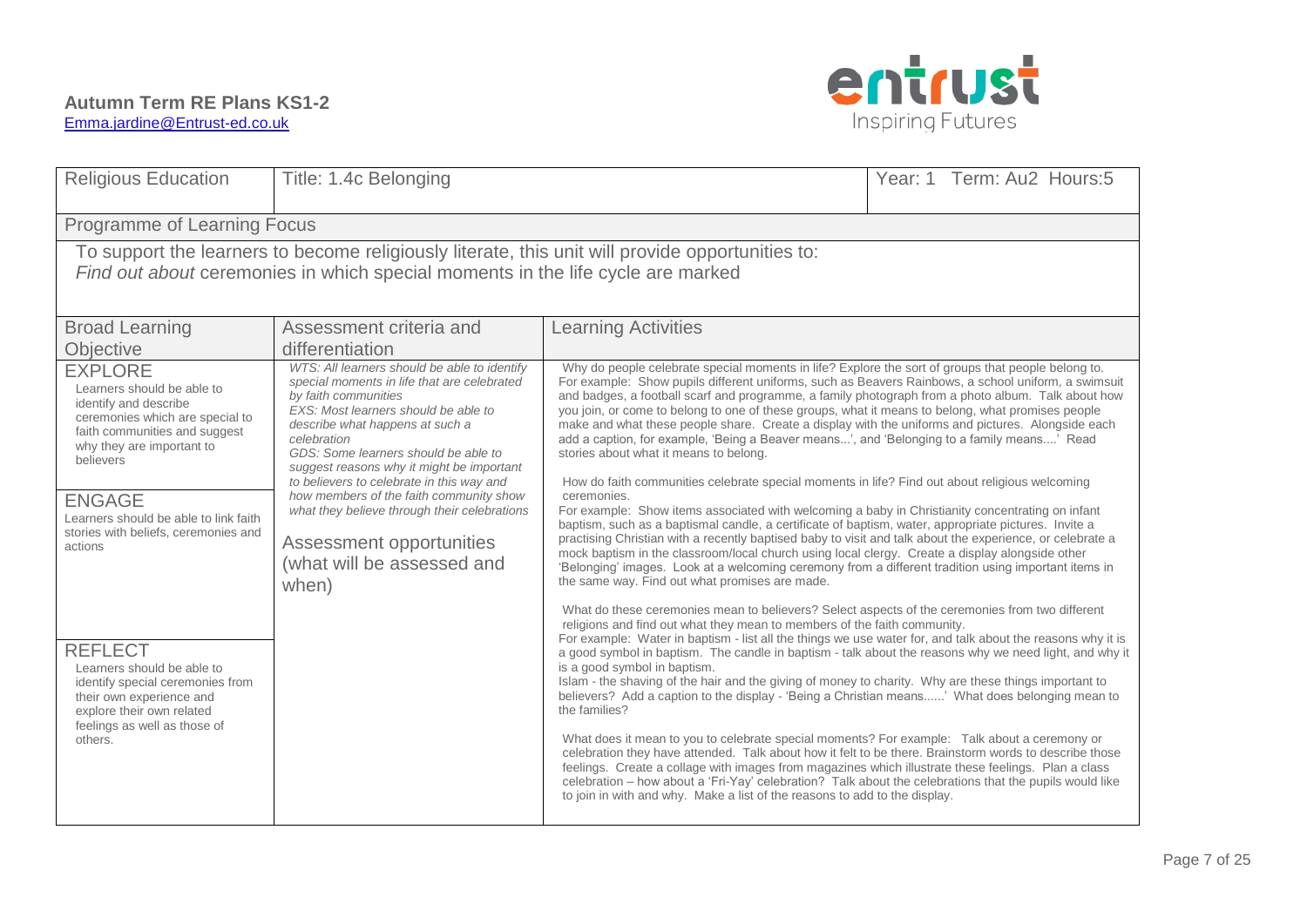

| <b>Religious Education</b>                                                                                                                                                           | Title: 1.4c Belonging                                                                                                                                                                                                                                                                                                                           |                                                                                                                                                                                                                                                                                                                                                                                                                                                                                                                                                                                                                                                                                                                                                                                                                                                                                                                                                                                                                                                                                                                                                                            | Year: 1 Term: Au2 Hours: 5 |  |  |  |
|--------------------------------------------------------------------------------------------------------------------------------------------------------------------------------------|-------------------------------------------------------------------------------------------------------------------------------------------------------------------------------------------------------------------------------------------------------------------------------------------------------------------------------------------------|----------------------------------------------------------------------------------------------------------------------------------------------------------------------------------------------------------------------------------------------------------------------------------------------------------------------------------------------------------------------------------------------------------------------------------------------------------------------------------------------------------------------------------------------------------------------------------------------------------------------------------------------------------------------------------------------------------------------------------------------------------------------------------------------------------------------------------------------------------------------------------------------------------------------------------------------------------------------------------------------------------------------------------------------------------------------------------------------------------------------------------------------------------------------------|----------------------------|--|--|--|
|                                                                                                                                                                                      | Programme of Learning Focus                                                                                                                                                                                                                                                                                                                     |                                                                                                                                                                                                                                                                                                                                                                                                                                                                                                                                                                                                                                                                                                                                                                                                                                                                                                                                                                                                                                                                                                                                                                            |                            |  |  |  |
|                                                                                                                                                                                      | Find out about ceremonies in which special moments in the life cycle are marked                                                                                                                                                                                                                                                                 | To support the learners to become religiously literate, this unit will provide opportunities to:                                                                                                                                                                                                                                                                                                                                                                                                                                                                                                                                                                                                                                                                                                                                                                                                                                                                                                                                                                                                                                                                           |                            |  |  |  |
| <b>Broad Learning</b>                                                                                                                                                                | Assessment criteria and                                                                                                                                                                                                                                                                                                                         | <b>Learning Activities</b>                                                                                                                                                                                                                                                                                                                                                                                                                                                                                                                                                                                                                                                                                                                                                                                                                                                                                                                                                                                                                                                                                                                                                 |                            |  |  |  |
| <b>Objective</b>                                                                                                                                                                     | differentiation                                                                                                                                                                                                                                                                                                                                 |                                                                                                                                                                                                                                                                                                                                                                                                                                                                                                                                                                                                                                                                                                                                                                                                                                                                                                                                                                                                                                                                                                                                                                            |                            |  |  |  |
| <b>EXPLORE</b><br>Learners should be able to<br>identify and describe<br>ceremonies which are special to<br>faith communities and suggest<br>why they are important to<br>believers  | WTS: All learners should be able to identify<br>special moments in life that are celebrated<br>by faith communities<br>EXS: Most learners should be able to<br>describe what happens at such a<br>celebration<br>GDS: Some learners should be able to<br>suggest reasons why it might be important<br>to believers to celebrate in this way and | Why do people celebrate special moments in life? Explore the sort of groups that people belong to.<br>For example: Show pupils different uniforms, such as Beavers Rainbows, a school uniform, a swimsuit<br>and badges, a football scarf and programme, a family photograph from a photo album. Talk about how<br>you join, or come to belong to one of these groups, what it means to belong, what promises people<br>make and what these people share. Create a display with the uniforms and pictures. Alongside each<br>add a caption, for example, 'Being a Beaver means', and 'Belonging to a family means' Read<br>stories about what it means to belong.<br>How do faith communities celebrate special moments in life? Find out about religious welcoming                                                                                                                                                                                                                                                                                                                                                                                                        |                            |  |  |  |
| <b>ENGAGE</b><br>Learners should be able to link faith<br>stories with beliefs, ceremonies and<br>actions                                                                            | how members of the faith community show<br>what they believe through their celebrations<br>Assessment opportunities<br>(what will be assessed and<br>when)                                                                                                                                                                                      | ceremonies.<br>For example: Show items associated with welcoming a baby in Christianity concentrating on infant<br>baptism, such as a baptismal candle, a certificate of baptism, water, appropriate pictures. Invite a<br>practising Christian with a recently baptised baby to visit and talk about the experience, or celebrate a<br>mock baptism in the classroom/local church using local clergy. Create a display alongside other<br>'Belonging' images. Look at a welcoming ceremony from a different tradition using important items in<br>the same way. Find out what promises are made.                                                                                                                                                                                                                                                                                                                                                                                                                                                                                                                                                                          |                            |  |  |  |
| <b>REFLECT</b><br>Learners should be able to<br>identify special ceremonies from<br>their own experience and<br>explore their own related<br>feelings as well as those of<br>others. |                                                                                                                                                                                                                                                                                                                                                 | What do these ceremonies mean to believers? Select aspects of the ceremonies from two different<br>religions and find out what they mean to members of the faith community.<br>For example: Water in baptism - list all the things we use water for, and talk about the reasons why it is<br>a good symbol in baptism. The candle in baptism - talk about the reasons why we need light, and why it<br>is a good symbol in baptism.<br>Islam - the shaving of the hair and the giving of money to charity. Why are these things important to<br>believers? Add a caption to the display - 'Being a Christian means' What does belonging mean to<br>the families?<br>What does it mean to you to celebrate special moments? For example: Talk about a ceremony or<br>celebration they have attended. Talk about how it felt to be there. Brainstorm words to describe those<br>feelings. Create a collage with images from magazines which illustrate these feelings. Plan a class<br>celebration - how about a 'Fri-Yay' celebration? Talk about the celebrations that the pupils would like<br>to join in with and why. Make a list of the reasons to add to the display. |                            |  |  |  |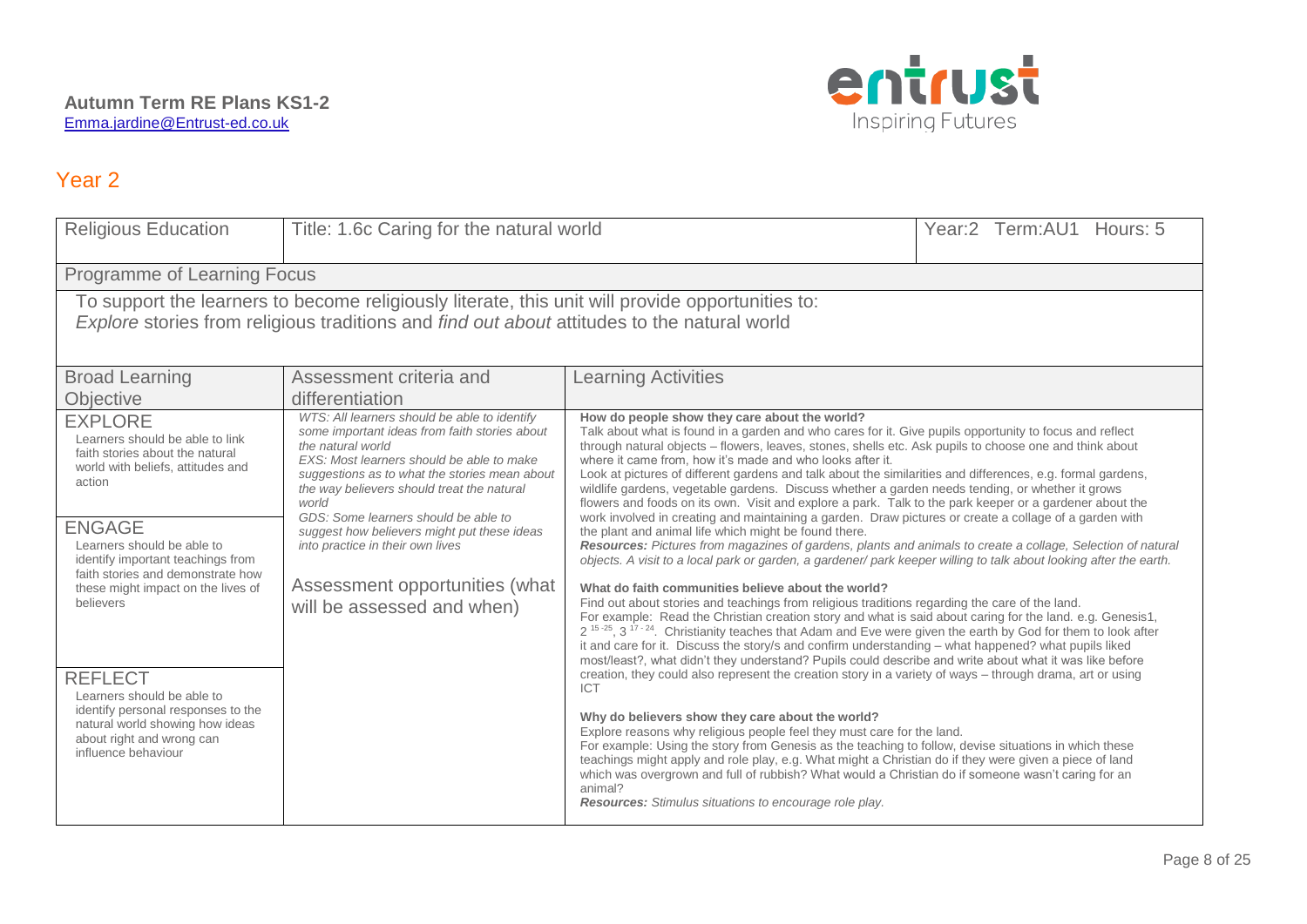

| <b>Religious Education</b>                                                                                                                                                                                                                                                                                                                                                                                                                                                                   | Title: 1.6c Caring for the natural world                                                                                                                                                                                                                                                                                                                                                                                                                           |                                                                                                                                                                                                                                                                                                                                                                                                                                                                                                                                                                                                                                                                                                                                                                                                                                                                                                                                                                                                                                                                                                                                                                                                                                                                                                                                                                                                                                                                                                                                                                                                                                                                                                                                                                                                                                                                                                                                                                                                                                                                                                                                                                                                                                                                                                                                                            | Year:2 Term:AU1 Hours: 5 |  |  |  |
|----------------------------------------------------------------------------------------------------------------------------------------------------------------------------------------------------------------------------------------------------------------------------------------------------------------------------------------------------------------------------------------------------------------------------------------------------------------------------------------------|--------------------------------------------------------------------------------------------------------------------------------------------------------------------------------------------------------------------------------------------------------------------------------------------------------------------------------------------------------------------------------------------------------------------------------------------------------------------|------------------------------------------------------------------------------------------------------------------------------------------------------------------------------------------------------------------------------------------------------------------------------------------------------------------------------------------------------------------------------------------------------------------------------------------------------------------------------------------------------------------------------------------------------------------------------------------------------------------------------------------------------------------------------------------------------------------------------------------------------------------------------------------------------------------------------------------------------------------------------------------------------------------------------------------------------------------------------------------------------------------------------------------------------------------------------------------------------------------------------------------------------------------------------------------------------------------------------------------------------------------------------------------------------------------------------------------------------------------------------------------------------------------------------------------------------------------------------------------------------------------------------------------------------------------------------------------------------------------------------------------------------------------------------------------------------------------------------------------------------------------------------------------------------------------------------------------------------------------------------------------------------------------------------------------------------------------------------------------------------------------------------------------------------------------------------------------------------------------------------------------------------------------------------------------------------------------------------------------------------------------------------------------------------------------------------------------------------------|--------------------------|--|--|--|
|                                                                                                                                                                                                                                                                                                                                                                                                                                                                                              | Programme of Learning Focus                                                                                                                                                                                                                                                                                                                                                                                                                                        |                                                                                                                                                                                                                                                                                                                                                                                                                                                                                                                                                                                                                                                                                                                                                                                                                                                                                                                                                                                                                                                                                                                                                                                                                                                                                                                                                                                                                                                                                                                                                                                                                                                                                                                                                                                                                                                                                                                                                                                                                                                                                                                                                                                                                                                                                                                                                            |                          |  |  |  |
|                                                                                                                                                                                                                                                                                                                                                                                                                                                                                              | To support the learners to become religiously literate, this unit will provide opportunities to:<br>Explore stories from religious traditions and find out about attitudes to the natural world                                                                                                                                                                                                                                                                    |                                                                                                                                                                                                                                                                                                                                                                                                                                                                                                                                                                                                                                                                                                                                                                                                                                                                                                                                                                                                                                                                                                                                                                                                                                                                                                                                                                                                                                                                                                                                                                                                                                                                                                                                                                                                                                                                                                                                                                                                                                                                                                                                                                                                                                                                                                                                                            |                          |  |  |  |
| <b>Broad Learning</b><br>Objective                                                                                                                                                                                                                                                                                                                                                                                                                                                           | Assessment criteria and<br>differentiation                                                                                                                                                                                                                                                                                                                                                                                                                         | <b>Learning Activities</b>                                                                                                                                                                                                                                                                                                                                                                                                                                                                                                                                                                                                                                                                                                                                                                                                                                                                                                                                                                                                                                                                                                                                                                                                                                                                                                                                                                                                                                                                                                                                                                                                                                                                                                                                                                                                                                                                                                                                                                                                                                                                                                                                                                                                                                                                                                                                 |                          |  |  |  |
| <b>EXPLORE</b><br>Learners should be able to link<br>faith stories about the natural<br>world with beliefs, attitudes and<br>action<br><b>ENGAGE</b><br>Learners should be able to<br>identify important teachings from<br>faith stories and demonstrate how<br>these might impact on the lives of<br>believers<br><b>REFLECT</b><br>Learners should be able to<br>identify personal responses to the<br>natural world showing how ideas<br>about right and wrong can<br>influence behaviour | WTS: All learners should be able to identify<br>some important ideas from faith stories about<br>the natural world<br>EXS: Most learners should be able to make<br>suggestions as to what the stories mean about<br>the way believers should treat the natural<br>world<br>GDS: Some learners should be able to<br>suggest how believers might put these ideas<br>into practice in their own lives<br>Assessment opportunities (what<br>will be assessed and when) | How do people show they care about the world?<br>Talk about what is found in a garden and who cares for it. Give pupils opportunity to focus and reflect<br>through natural objects - flowers, leaves, stones, shells etc. Ask pupils to choose one and think about<br>where it came from, how it's made and who looks after it.<br>Look at pictures of different gardens and talk about the similarities and differences, e.g. formal gardens,<br>wildlife gardens, vegetable gardens. Discuss whether a garden needs tending, or whether it grows<br>flowers and foods on its own. Visit and explore a park. Talk to the park keeper or a gardener about the<br>work involved in creating and maintaining a garden. Draw pictures or create a collage of a garden with<br>the plant and animal life which might be found there.<br>Resources: Pictures from magazines of gardens, plants and animals to create a collage, Selection of natural<br>objects. A visit to a local park or garden, a gardener/park keeper willing to talk about looking after the earth.<br>What do faith communities believe about the world?<br>Find out about stories and teachings from religious traditions regarding the care of the land.<br>For example: Read the Christian creation story and what is said about caring for the land. e.g. Genesis1,<br>$2^{15\cdot25}$ , 3 <sup>17 - 24</sup> . Christianity teaches that Adam and Eve were given the earth by God for them to look after<br>it and care for it. Discuss the story/s and confirm understanding – what happened? what pupils liked<br>most/least?, what didn't they understand? Pupils could describe and write about what it was like before<br>creation, they could also represent the creation story in a variety of ways – through drama, art or using<br><b>ICT</b><br>Why do believers show they care about the world?<br>Explore reasons why religious people feel they must care for the land.<br>For example: Using the story from Genesis as the teaching to follow, devise situations in which these<br>teachings might apply and role play, e.g. What might a Christian do if they were given a piece of land<br>which was overgrown and full of rubbish? What would a Christian do if someone wasn't caring for an<br>animal?<br>Resources: Stimulus situations to encourage role play. |                          |  |  |  |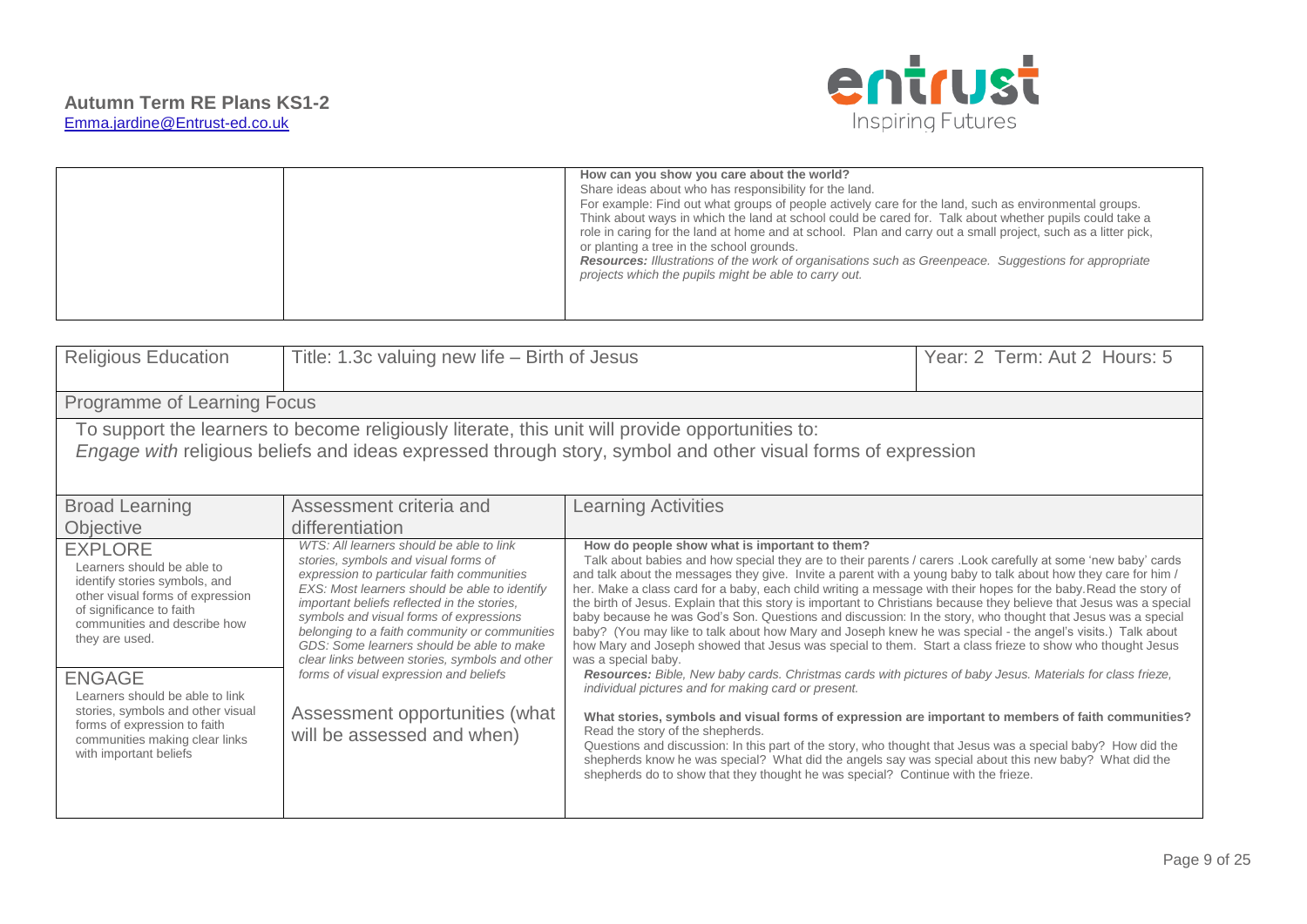

| How can you show you care about the world?<br>Share ideas about who has responsibility for the land.<br>For example: Find out what groups of people actively care for the land, such as environmental groups.<br>Think about ways in which the land at school could be cared for. Talk about whether pupils could take a<br>role in caring for the land at home and at school. Plan and carry out a small project, such as a litter pick,<br>or planting a tree in the school grounds.<br>Resources: Illustrations of the work of organisations such as Greenpeace. Suggestions for appropriate<br>projects which the pupils might be able to carry out. |
|----------------------------------------------------------------------------------------------------------------------------------------------------------------------------------------------------------------------------------------------------------------------------------------------------------------------------------------------------------------------------------------------------------------------------------------------------------------------------------------------------------------------------------------------------------------------------------------------------------------------------------------------------------|
|----------------------------------------------------------------------------------------------------------------------------------------------------------------------------------------------------------------------------------------------------------------------------------------------------------------------------------------------------------------------------------------------------------------------------------------------------------------------------------------------------------------------------------------------------------------------------------------------------------------------------------------------------------|

| <b>Religious Education</b>                                                                                                                                                                                                                                                                                                                                                           | Title: 1.3c valuing new life – Birth of Jesus                                                                                                                                                                                                                                                                                                                                                                                                                                                                                       |                                                                                                                                                                                                                                                                                                                                                                                                                                                                                                                                                                                                                                                                                                                                                                                                                                                                                                                                                                                                                                                                                                                                                                                                                                                                                                                                                                                                                                                                                                                            | Year: 2 Term: Aut 2 Hours: 5 |  |
|--------------------------------------------------------------------------------------------------------------------------------------------------------------------------------------------------------------------------------------------------------------------------------------------------------------------------------------------------------------------------------------|-------------------------------------------------------------------------------------------------------------------------------------------------------------------------------------------------------------------------------------------------------------------------------------------------------------------------------------------------------------------------------------------------------------------------------------------------------------------------------------------------------------------------------------|----------------------------------------------------------------------------------------------------------------------------------------------------------------------------------------------------------------------------------------------------------------------------------------------------------------------------------------------------------------------------------------------------------------------------------------------------------------------------------------------------------------------------------------------------------------------------------------------------------------------------------------------------------------------------------------------------------------------------------------------------------------------------------------------------------------------------------------------------------------------------------------------------------------------------------------------------------------------------------------------------------------------------------------------------------------------------------------------------------------------------------------------------------------------------------------------------------------------------------------------------------------------------------------------------------------------------------------------------------------------------------------------------------------------------------------------------------------------------------------------------------------------------|------------------------------|--|
| Programme of Learning Focus                                                                                                                                                                                                                                                                                                                                                          |                                                                                                                                                                                                                                                                                                                                                                                                                                                                                                                                     |                                                                                                                                                                                                                                                                                                                                                                                                                                                                                                                                                                                                                                                                                                                                                                                                                                                                                                                                                                                                                                                                                                                                                                                                                                                                                                                                                                                                                                                                                                                            |                              |  |
| To support the learners to become religiously literate, this unit will provide opportunities to:<br>Engage with religious beliefs and ideas expressed through story, symbol and other visual forms of expression                                                                                                                                                                     |                                                                                                                                                                                                                                                                                                                                                                                                                                                                                                                                     |                                                                                                                                                                                                                                                                                                                                                                                                                                                                                                                                                                                                                                                                                                                                                                                                                                                                                                                                                                                                                                                                                                                                                                                                                                                                                                                                                                                                                                                                                                                            |                              |  |
| <b>Broad Learning</b><br><b>Objective</b>                                                                                                                                                                                                                                                                                                                                            | Assessment criteria and<br>differentiation                                                                                                                                                                                                                                                                                                                                                                                                                                                                                          | <b>Learning Activities</b>                                                                                                                                                                                                                                                                                                                                                                                                                                                                                                                                                                                                                                                                                                                                                                                                                                                                                                                                                                                                                                                                                                                                                                                                                                                                                                                                                                                                                                                                                                 |                              |  |
| <b>EXPLORE</b><br>Learners should be able to<br>identify stories symbols, and<br>other visual forms of expression<br>of significance to faith<br>communities and describe how<br>they are used.<br><b>ENGAGE</b><br>Learners should be able to link<br>stories, symbols and other visual<br>forms of expression to faith<br>communities making clear links<br>with important beliefs | WTS: All learners should be able to link<br>stories, symbols and visual forms of<br>expression to particular faith communities<br>EXS: Most learners should be able to identify<br>important beliefs reflected in the stories.<br>symbols and visual forms of expressions<br>belonging to a faith community or communities<br>GDS: Some learners should be able to make<br>clear links between stories, symbols and other<br>forms of visual expression and beliefs<br>Assessment opportunities (what<br>will be assessed and when) | How do people show what is important to them?<br>Talk about babies and how special they are to their parents / carers . Look carefully at some 'new baby' cards<br>and talk about the messages they give. Invite a parent with a young baby to talk about how they care for him /<br>her. Make a class card for a baby, each child writing a message with their hopes for the baby. Read the story of<br>the birth of Jesus. Explain that this story is important to Christians because they believe that Jesus was a special<br>baby because he was God's Son. Questions and discussion: In the story, who thought that Jesus was a special<br>baby? (You may like to talk about how Mary and Joseph knew he was special - the angel's visits.) Talk about<br>how Mary and Joseph showed that Jesus was special to them. Start a class frieze to show who thought Jesus<br>was a special baby.<br>Resources: Bible, New baby cards. Christmas cards with pictures of baby Jesus. Materials for class frieze,<br>individual pictures and for making card or present.<br>What stories, symbols and visual forms of expression are important to members of faith communities?<br>Read the story of the shepherds.<br>Questions and discussion: In this part of the story, who thought that Jesus was a special baby? How did the<br>shepherds know he was special? What did the angels say was special about this new baby? What did the<br>shepherds do to show that they thought he was special? Continue with the frieze. |                              |  |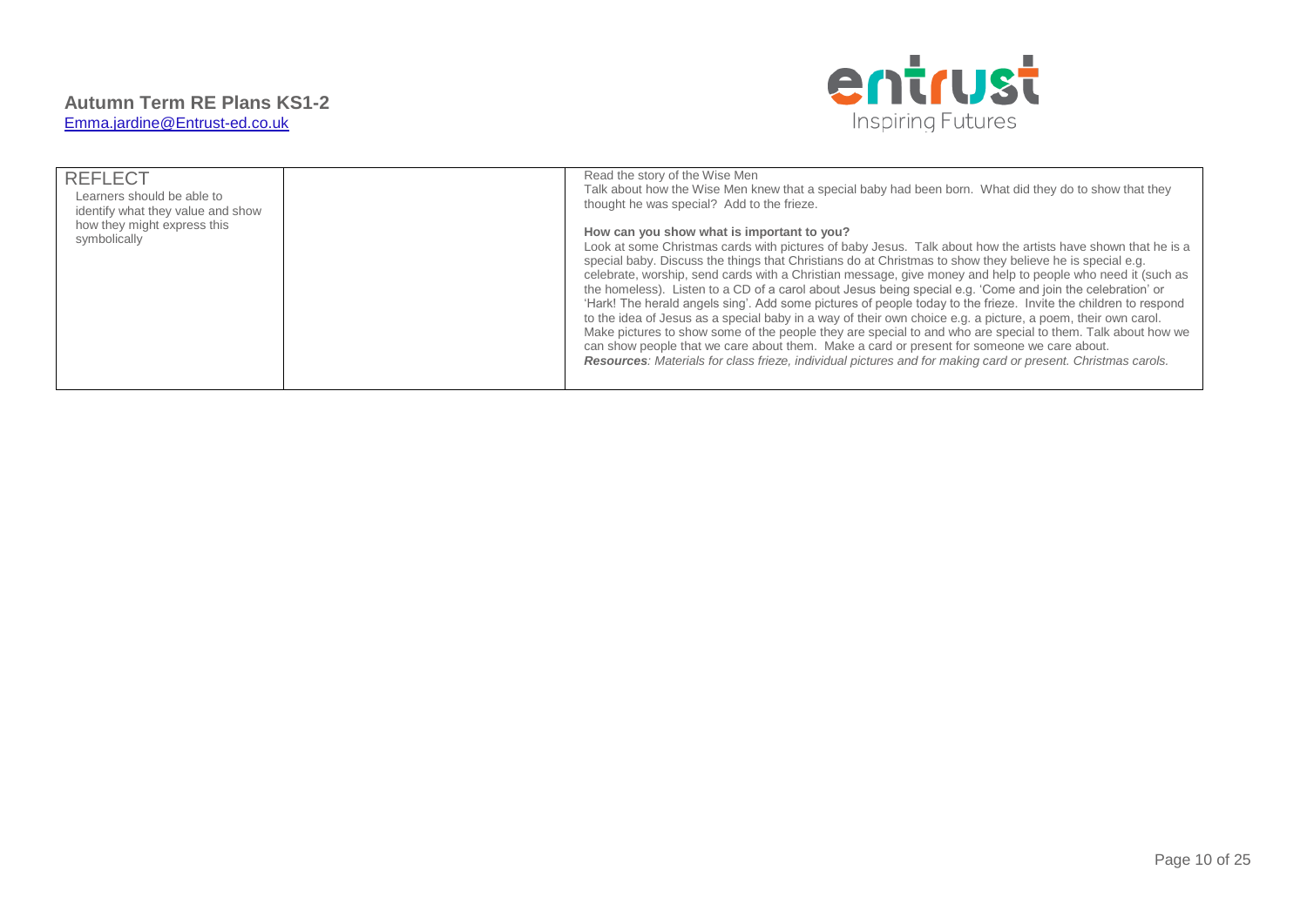

| <b>REFLECT</b><br>Learners should be able to<br>identify what they value and show<br>how they might express this<br>symbolically | Read the story of the Wise Men<br>Talk about how the Wise Men knew that a special baby had been born. What did they do to show that they<br>thought he was special? Add to the frieze.<br>How can you show what is important to you?<br>Look at some Christmas cards with pictures of baby Jesus. Talk about how the artists have shown that he is a<br>special baby. Discuss the things that Christians do at Christmas to show they believe he is special e.g.<br>celebrate, worship, send cards with a Christian message, give money and help to people who need it (such as<br>the homeless). Listen to a CD of a carol about Jesus being special e.g. 'Come and join the celebration' or<br>'Hark! The herald angels sing'. Add some pictures of people today to the frieze. Invite the children to respond<br>to the idea of Jesus as a special baby in a way of their own choice e.g. a picture, a poem, their own carol.<br>Make pictures to show some of the people they are special to and who are special to them. Talk about how we<br>can show people that we care about them. Make a card or present for someone we care about.<br>Resources: Materials for class frieze, individual pictures and for making card or present. Christmas carols. |
|----------------------------------------------------------------------------------------------------------------------------------|---------------------------------------------------------------------------------------------------------------------------------------------------------------------------------------------------------------------------------------------------------------------------------------------------------------------------------------------------------------------------------------------------------------------------------------------------------------------------------------------------------------------------------------------------------------------------------------------------------------------------------------------------------------------------------------------------------------------------------------------------------------------------------------------------------------------------------------------------------------------------------------------------------------------------------------------------------------------------------------------------------------------------------------------------------------------------------------------------------------------------------------------------------------------------------------------------------------------------------------------------------------|
|----------------------------------------------------------------------------------------------------------------------------------|---------------------------------------------------------------------------------------------------------------------------------------------------------------------------------------------------------------------------------------------------------------------------------------------------------------------------------------------------------------------------------------------------------------------------------------------------------------------------------------------------------------------------------------------------------------------------------------------------------------------------------------------------------------------------------------------------------------------------------------------------------------------------------------------------------------------------------------------------------------------------------------------------------------------------------------------------------------------------------------------------------------------------------------------------------------------------------------------------------------------------------------------------------------------------------------------------------------------------------------------------------------|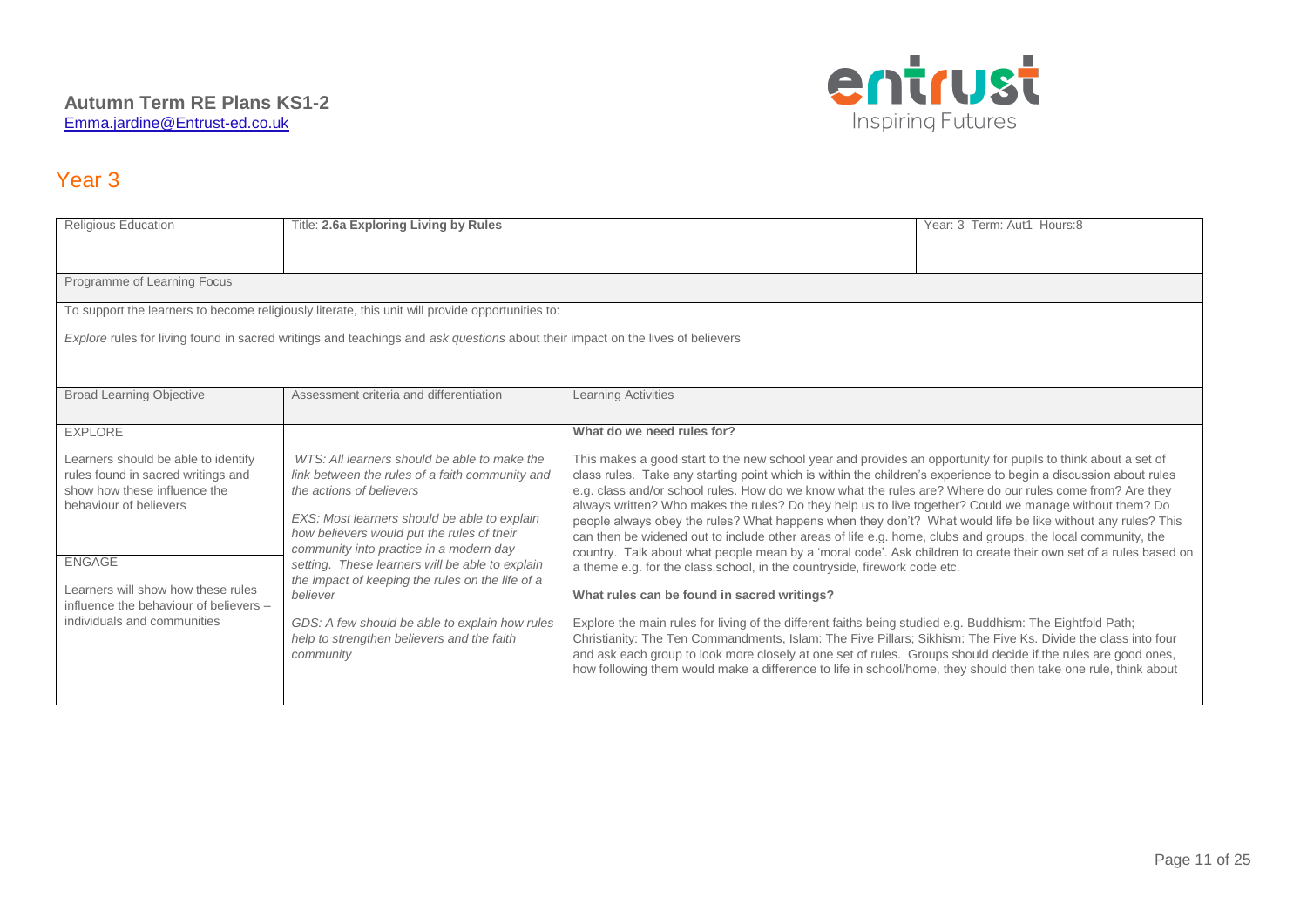

| <b>Religious Education</b>                                                                                                                                                                                                                                                                                                                                                                                                                                                                                                                                                | Title: 2.6a Exploring Living by Rules<br>Year: 3 Term: Aut1 Hours:8                                                            |                                                                                                                                                                                                                                                                                                                                                                                                                                                                                                                                                                                                                                                                                                                                                                                                                                                                                                                                           |  |  |  |
|---------------------------------------------------------------------------------------------------------------------------------------------------------------------------------------------------------------------------------------------------------------------------------------------------------------------------------------------------------------------------------------------------------------------------------------------------------------------------------------------------------------------------------------------------------------------------|--------------------------------------------------------------------------------------------------------------------------------|-------------------------------------------------------------------------------------------------------------------------------------------------------------------------------------------------------------------------------------------------------------------------------------------------------------------------------------------------------------------------------------------------------------------------------------------------------------------------------------------------------------------------------------------------------------------------------------------------------------------------------------------------------------------------------------------------------------------------------------------------------------------------------------------------------------------------------------------------------------------------------------------------------------------------------------------|--|--|--|
| Programme of Learning Focus                                                                                                                                                                                                                                                                                                                                                                                                                                                                                                                                               |                                                                                                                                |                                                                                                                                                                                                                                                                                                                                                                                                                                                                                                                                                                                                                                                                                                                                                                                                                                                                                                                                           |  |  |  |
|                                                                                                                                                                                                                                                                                                                                                                                                                                                                                                                                                                           | To support the learners to become religiously literate, this unit will provide opportunities to:                               |                                                                                                                                                                                                                                                                                                                                                                                                                                                                                                                                                                                                                                                                                                                                                                                                                                                                                                                                           |  |  |  |
|                                                                                                                                                                                                                                                                                                                                                                                                                                                                                                                                                                           | Explore rules for living found in sacred writings and teachings and ask questions about their impact on the lives of believers |                                                                                                                                                                                                                                                                                                                                                                                                                                                                                                                                                                                                                                                                                                                                                                                                                                                                                                                                           |  |  |  |
| <b>Broad Learning Objective</b>                                                                                                                                                                                                                                                                                                                                                                                                                                                                                                                                           | Assessment criteria and differentiation                                                                                        | <b>Learning Activities</b>                                                                                                                                                                                                                                                                                                                                                                                                                                                                                                                                                                                                                                                                                                                                                                                                                                                                                                                |  |  |  |
| <b>EXPLORE</b>                                                                                                                                                                                                                                                                                                                                                                                                                                                                                                                                                            |                                                                                                                                | What do we need rules for?                                                                                                                                                                                                                                                                                                                                                                                                                                                                                                                                                                                                                                                                                                                                                                                                                                                                                                                |  |  |  |
| WTS: All learners should be able to make the<br>Learners should be able to identify<br>rules found in sacred writings and<br>link between the rules of a faith community and<br>show how these influence the<br>the actions of believers<br>behaviour of believers<br>EXS: Most learners should be able to explain<br>how believers would put the rules of their<br>community into practice in a modern day<br><b>ENGAGE</b><br>setting. These learners will be able to explain<br>the impact of keeping the rules on the life of a<br>Learners will show how these rules |                                                                                                                                | This makes a good start to the new school year and provides an opportunity for pupils to think about a set of<br>class rules. Take any starting point which is within the children's experience to begin a discussion about rules<br>e.g. class and/or school rules. How do we know what the rules are? Where do our rules come from? Are they<br>always written? Who makes the rules? Do they help us to live together? Could we manage without them? Do<br>people always obey the rules? What happens when they don't? What would life be like without any rules? This<br>can then be widened out to include other areas of life e.g. home, clubs and groups, the local community, the<br>country. Talk about what people mean by a 'moral code'. Ask children to create their own set of a rules based on<br>a theme e.g. for the class, school, in the countryside, firework code etc.<br>What rules can be found in sacred writings? |  |  |  |
| influence the behaviour of believers -<br>individuals and communities                                                                                                                                                                                                                                                                                                                                                                                                                                                                                                     | believer<br>GDS: A few should be able to explain how rules<br>help to strengthen believers and the faith<br>community          | Explore the main rules for living of the different faiths being studied e.g. Buddhism: The Eightfold Path;<br>Christianity: The Ten Commandments, Islam: The Five Pillars; Sikhism: The Five Ks. Divide the class into four<br>and ask each group to look more closely at one set of rules. Groups should decide if the rules are good ones,<br>how following them would make a difference to life in school/home, they should then take one rule, think about                                                                                                                                                                                                                                                                                                                                                                                                                                                                            |  |  |  |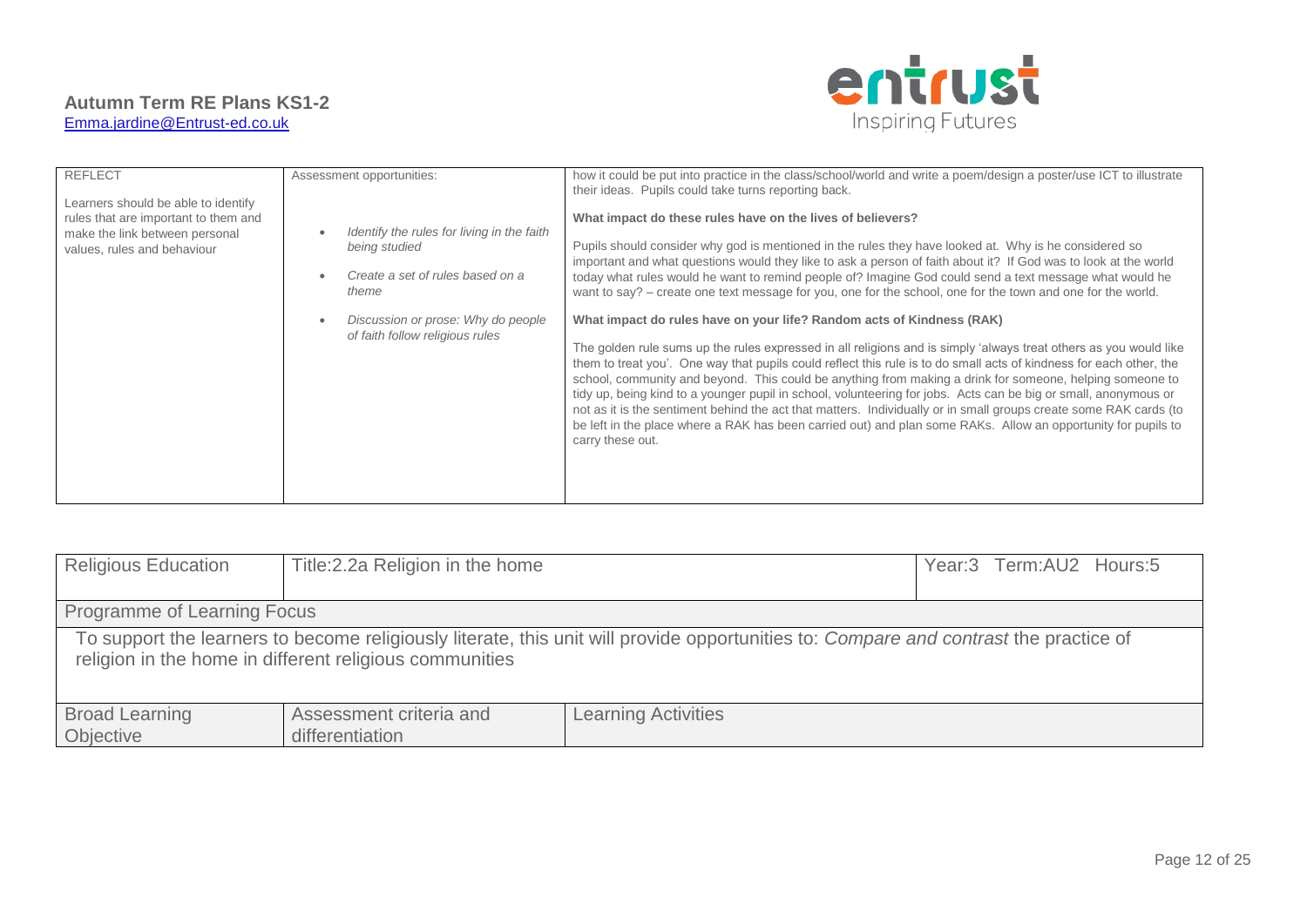

| <b>REFLECT</b><br>Learners should be able to identify<br>rules that are important to them and<br>make the link between personal<br>values, rules and behaviour | Assessment opportunities:<br>Identify the rules for living in the faith<br>being studied<br>Create a set of rules based on a<br>theme<br>Discussion or prose: Why do people<br>of faith follow religious rules | how it could be put into practice in the class/school/world and write a poem/design a poster/use ICT to illustrate<br>their ideas. Pupils could take turns reporting back.<br>What impact do these rules have on the lives of believers?<br>Pupils should consider why god is mentioned in the rules they have looked at. Why is he considered so<br>important and what questions would they like to ask a person of faith about it? If God was to look at the world<br>today what rules would he want to remind people of? Imagine God could send a text message what would he<br>want to say? – create one text message for you, one for the school, one for the town and one for the world.<br>What impact do rules have on your life? Random acts of Kindness (RAK)<br>The golden rule sums up the rules expressed in all religions and is simply 'always treat others as you would like<br>them to treat you'. One way that pupils could reflect this rule is to do small acts of kindness for each other, the<br>school, community and beyond. This could be anything from making a drink for someone, helping someone to<br>tidy up, being kind to a younger pupil in school, volunteering for jobs. Acts can be big or small, anonymous or<br>not as it is the sentiment behind the act that matters. Individually or in small groups create some RAK cards (to<br>be left in the place where a RAK has been carried out) and plan some RAKs. Allow an opportunity for pupils to<br>carry these out. |
|----------------------------------------------------------------------------------------------------------------------------------------------------------------|----------------------------------------------------------------------------------------------------------------------------------------------------------------------------------------------------------------|--------------------------------------------------------------------------------------------------------------------------------------------------------------------------------------------------------------------------------------------------------------------------------------------------------------------------------------------------------------------------------------------------------------------------------------------------------------------------------------------------------------------------------------------------------------------------------------------------------------------------------------------------------------------------------------------------------------------------------------------------------------------------------------------------------------------------------------------------------------------------------------------------------------------------------------------------------------------------------------------------------------------------------------------------------------------------------------------------------------------------------------------------------------------------------------------------------------------------------------------------------------------------------------------------------------------------------------------------------------------------------------------------------------------------------------------------------------------------------------------------------------|
|----------------------------------------------------------------------------------------------------------------------------------------------------------------|----------------------------------------------------------------------------------------------------------------------------------------------------------------------------------------------------------------|--------------------------------------------------------------------------------------------------------------------------------------------------------------------------------------------------------------------------------------------------------------------------------------------------------------------------------------------------------------------------------------------------------------------------------------------------------------------------------------------------------------------------------------------------------------------------------------------------------------------------------------------------------------------------------------------------------------------------------------------------------------------------------------------------------------------------------------------------------------------------------------------------------------------------------------------------------------------------------------------------------------------------------------------------------------------------------------------------------------------------------------------------------------------------------------------------------------------------------------------------------------------------------------------------------------------------------------------------------------------------------------------------------------------------------------------------------------------------------------------------------------|

| <b>Religious Education</b>                                                                                                                                                                       | Title: 2.2a Religion in the home           |                            |  | Year:3 Term:AU2 Hours:5 |
|--------------------------------------------------------------------------------------------------------------------------------------------------------------------------------------------------|--------------------------------------------|----------------------------|--|-------------------------|
| Programme of Learning Focus                                                                                                                                                                      |                                            |                            |  |                         |
| To support the learners to become religiously literate, this unit will provide opportunities to: Compare and contrast the practice of<br>religion in the home in different religious communities |                                            |                            |  |                         |
| <b>Broad Learning</b><br>Objective                                                                                                                                                               | Assessment criteria and<br>differentiation | <b>Learning Activities</b> |  |                         |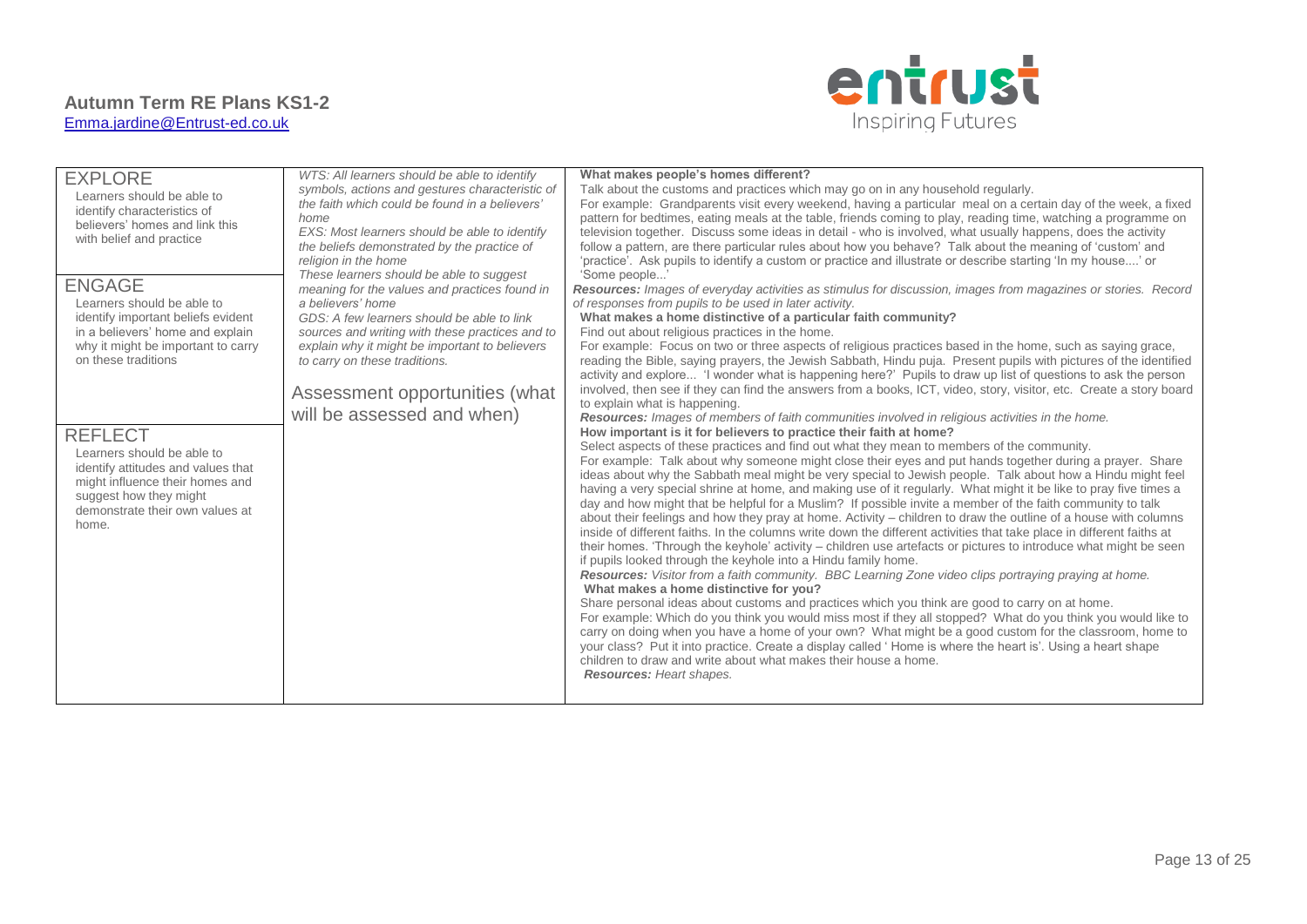

| <b>EXPLORE</b>                     | WTS: All learners should be able to identify    | What makes people's homes different?                                                                                  |
|------------------------------------|-------------------------------------------------|-----------------------------------------------------------------------------------------------------------------------|
| Learners should be able to         | symbols, actions and gestures characteristic of | Talk about the customs and practices which may go on in any household regularly.                                      |
| identify characteristics of        | the faith which could be found in a believers'  | For example: Grandparents visit every weekend, having a particular meal on a certain day of the week, a fixed         |
| believers' homes and link this     | home                                            | pattern for bedtimes, eating meals at the table, friends coming to play, reading time, watching a programme on        |
| with belief and practice           | EXS: Most learners should be able to identify   | television together. Discuss some ideas in detail - who is involved, what usually happens, does the activity          |
|                                    | the beliefs demonstrated by the practice of     | follow a pattern, are there particular rules about how you behave? Talk about the meaning of 'custom' and             |
|                                    | religion in the home                            | 'practice'. Ask pupils to identify a custom or practice and illustrate or describe starting 'In my house' or          |
|                                    | These learners should be able to suggest        | 'Some people'                                                                                                         |
| <b>ENGAGE</b>                      | meaning for the values and practices found in   | Resources: Images of everyday activities as stimulus for discussion, images from magazines or stories. Record         |
| Learners should be able to         | a believers' home                               | of responses from pupils to be used in later activity.                                                                |
| identify important beliefs evident | GDS: A few learners should be able to link      | What makes a home distinctive of a particular faith community?                                                        |
| in a believers' home and explain   | sources and writing with these practices and to | Find out about religious practices in the home.                                                                       |
| why it might be important to carry | explain why it might be important to believers  | For example: Focus on two or three aspects of religious practices based in the home, such as saying grace,            |
| on these traditions                | to carry on these traditions.                   | reading the Bible, saying prayers, the Jewish Sabbath, Hindu puja. Present pupils with pictures of the identified     |
|                                    |                                                 | activity and explore 'I wonder what is happening here?' Pupils to draw up list of questions to ask the person         |
|                                    | Assessment opportunities (what                  | involved, then see if they can find the answers from a books, ICT, video, story, visitor, etc. Create a story board   |
|                                    |                                                 | to explain what is happening.                                                                                         |
|                                    | will be assessed and when)                      | Resources: Images of members of faith communities involved in religious activities in the home.                       |
| <b>REFLECT</b>                     |                                                 | How important is it for believers to practice their faith at home?                                                    |
| Learners should be able to         |                                                 | Select aspects of these practices and find out what they mean to members of the community.                            |
| identify attitudes and values that |                                                 | For example: Talk about why someone might close their eyes and put hands together during a prayer. Share              |
| might influence their homes and    |                                                 | ideas about why the Sabbath meal might be very special to Jewish people. Talk about how a Hindu might feel            |
| suggest how they might             |                                                 | having a very special shrine at home, and making use of it regularly. What might it be like to pray five times a      |
| demonstrate their own values at    |                                                 | day and how might that be helpful for a Muslim? If possible invite a member of the faith community to talk            |
| home.                              |                                                 | about their feelings and how they pray at home. Activity – children to draw the outline of a house with columns       |
|                                    |                                                 | inside of different faiths. In the columns write down the different activities that take place in different faiths at |
|                                    |                                                 | their homes. 'Through the keyhole' activity – children use artefacts or pictures to introduce what might be seen      |
|                                    |                                                 | if pupils looked through the keyhole into a Hindu family home.                                                        |
|                                    |                                                 | Resources: Visitor from a faith community. BBC Learning Zone video clips portraying praying at home.                  |
|                                    |                                                 | What makes a home distinctive for you?                                                                                |
|                                    |                                                 | Share personal ideas about customs and practices which you think are good to carry on at home.                        |
|                                    |                                                 | For example: Which do you think you would miss most if they all stopped? What do you think you would like to          |
|                                    |                                                 | carry on doing when you have a home of your own? What might be a good custom for the classroom, home to               |
|                                    |                                                 | your class? Put it into practice. Create a display called 'Home is where the heart is'. Using a heart shape           |
|                                    |                                                 | children to draw and write about what makes their house a home.                                                       |
|                                    |                                                 | <b>Resources: Heart shapes.</b>                                                                                       |
|                                    |                                                 |                                                                                                                       |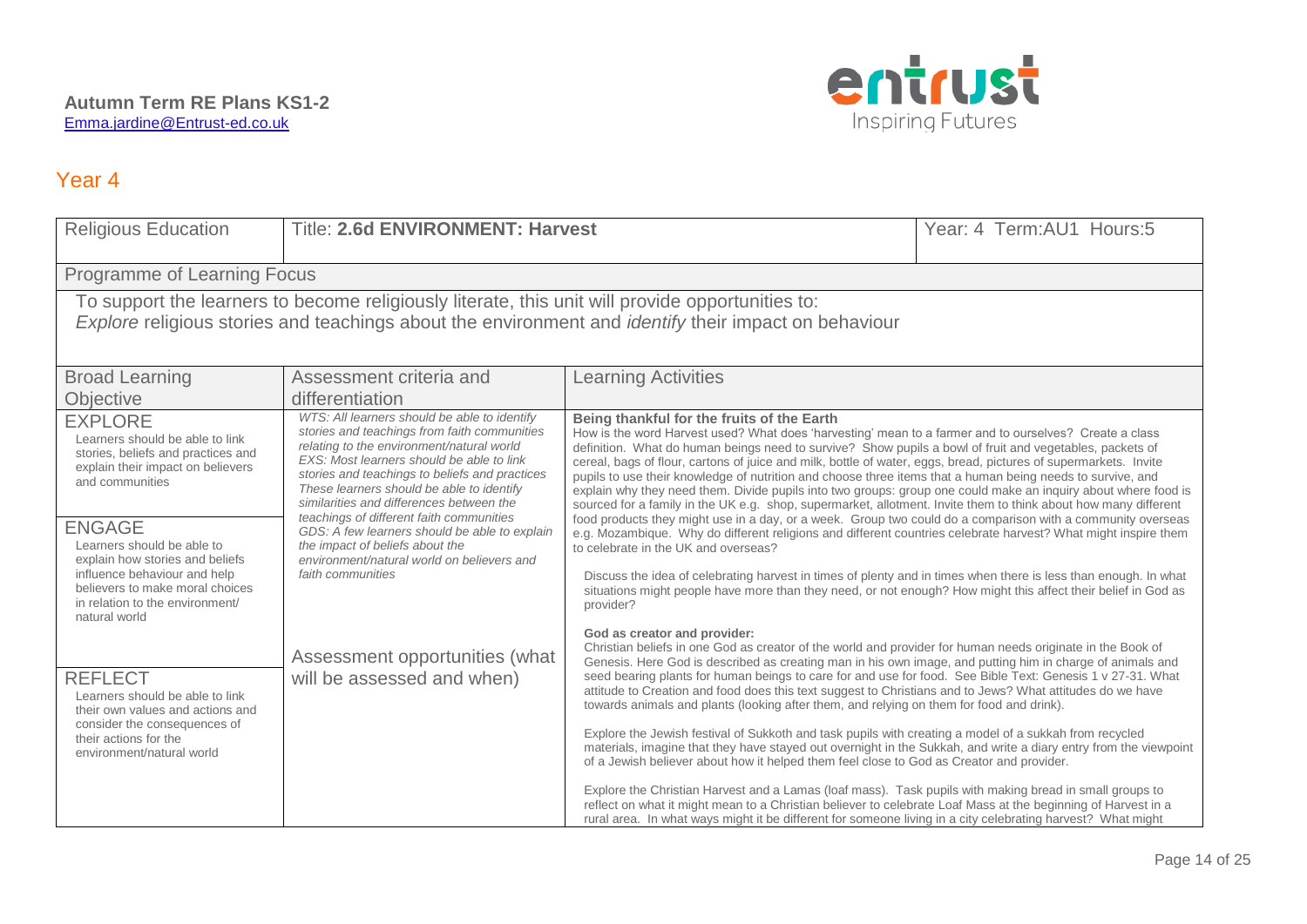

| <b>Religious Education</b>                                                                                                                                                                                      | <b>Title: 2.6d ENVIRONMENT: Harvest</b>                                                                                                                                                                                                                                                                                           |                                                                                                                                                                                                                                                                                                                                                                                                                                                                                                                                                                                                                                                                                                                                         | Year: 4 Term: AU1 Hours: 5 |
|-----------------------------------------------------------------------------------------------------------------------------------------------------------------------------------------------------------------|-----------------------------------------------------------------------------------------------------------------------------------------------------------------------------------------------------------------------------------------------------------------------------------------------------------------------------------|-----------------------------------------------------------------------------------------------------------------------------------------------------------------------------------------------------------------------------------------------------------------------------------------------------------------------------------------------------------------------------------------------------------------------------------------------------------------------------------------------------------------------------------------------------------------------------------------------------------------------------------------------------------------------------------------------------------------------------------------|----------------------------|
| Programme of Learning Focus                                                                                                                                                                                     |                                                                                                                                                                                                                                                                                                                                   |                                                                                                                                                                                                                                                                                                                                                                                                                                                                                                                                                                                                                                                                                                                                         |                            |
| To support the learners to become religiously literate, this unit will provide opportunities to:<br>Explore religious stories and teachings about the environment and <i>identify</i> their impact on behaviour |                                                                                                                                                                                                                                                                                                                                   |                                                                                                                                                                                                                                                                                                                                                                                                                                                                                                                                                                                                                                                                                                                                         |                            |
| <b>Broad Learning</b><br>Objective                                                                                                                                                                              | Assessment criteria and<br>differentiation                                                                                                                                                                                                                                                                                        | <b>Learning Activities</b>                                                                                                                                                                                                                                                                                                                                                                                                                                                                                                                                                                                                                                                                                                              |                            |
| <b>EXPLORE</b><br>Learners should be able to link<br>stories, beliefs and practices and<br>explain their impact on believers<br>and communities                                                                 | WTS: All learners should be able to identify<br>stories and teachings from faith communities<br>relating to the environment/natural world<br>EXS: Most learners should be able to link<br>stories and teachings to beliefs and practices<br>These learners should be able to identify<br>similarities and differences between the | Being thankful for the fruits of the Earth<br>How is the word Harvest used? What does 'harvesting' mean to a farmer and to ourselves? Create a class<br>definition. What do human beings need to survive? Show pupils a bowl of fruit and vegetables, packets of<br>cereal, bags of flour, cartons of juice and milk, bottle of water, eggs, bread, pictures of supermarkets. Invite<br>pupils to use their knowledge of nutrition and choose three items that a human being needs to survive, and<br>explain why they need them. Divide pupils into two groups: group one could make an inquiry about where food is<br>sourced for a family in the UK e.g. shop, supermarket, allotment. Invite them to think about how many different |                            |
| <b>ENGAGE</b><br>Learners should be able to<br>explain how stories and beliefs<br>influence behaviour and help<br>believers to make moral choices<br>in relation to the environment/<br>natural world           | teachings of different faith communities<br>GDS: A few learners should be able to explain<br>the impact of beliefs about the<br>environment/natural world on believers and<br>faith communities                                                                                                                                   | food products they might use in a day, or a week. Group two could do a comparison with a community overseas<br>e.g. Mozambique. Why do different religions and different countries celebrate harvest? What might inspire them<br>to celebrate in the UK and overseas?<br>Discuss the idea of celebrating harvest in times of plenty and in times when there is less than enough. In what<br>situations might people have more than they need, or not enough? How might this affect their belief in God as<br>provider?                                                                                                                                                                                                                  |                            |
| <b>REFLECT</b><br>Learners should be able to link<br>their own values and actions and                                                                                                                           | Assessment opportunities (what<br>will be assessed and when)                                                                                                                                                                                                                                                                      | God as creator and provider:<br>Christian beliefs in one God as creator of the world and provider for human needs originate in the Book of<br>Genesis. Here God is described as creating man in his own image, and putting him in charge of animals and<br>seed bearing plants for human beings to care for and use for food. See Bible Text: Genesis 1 v 27-31. What<br>attitude to Creation and food does this text suggest to Christians and to Jews? What attitudes do we have<br>towards animals and plants (looking after them, and relying on them for food and drink).                                                                                                                                                          |                            |
| consider the consequences of<br>their actions for the<br>environment/natural world                                                                                                                              |                                                                                                                                                                                                                                                                                                                                   | Explore the Jewish festival of Sukkoth and task pupils with creating a model of a sukkah from recycled<br>materials, imagine that they have stayed out overnight in the Sukkah, and write a diary entry from the viewpoint<br>of a Jewish believer about how it helped them feel close to God as Creator and provider.<br>Explore the Christian Harvest and a Lamas (loaf mass). Task pupils with making bread in small groups to<br>reflect on what it might mean to a Christian believer to celebrate Loaf Mass at the beginning of Harvest in a<br>rural area. In what ways might it be different for someone living in a city celebrating harvest? What might                                                                       |                            |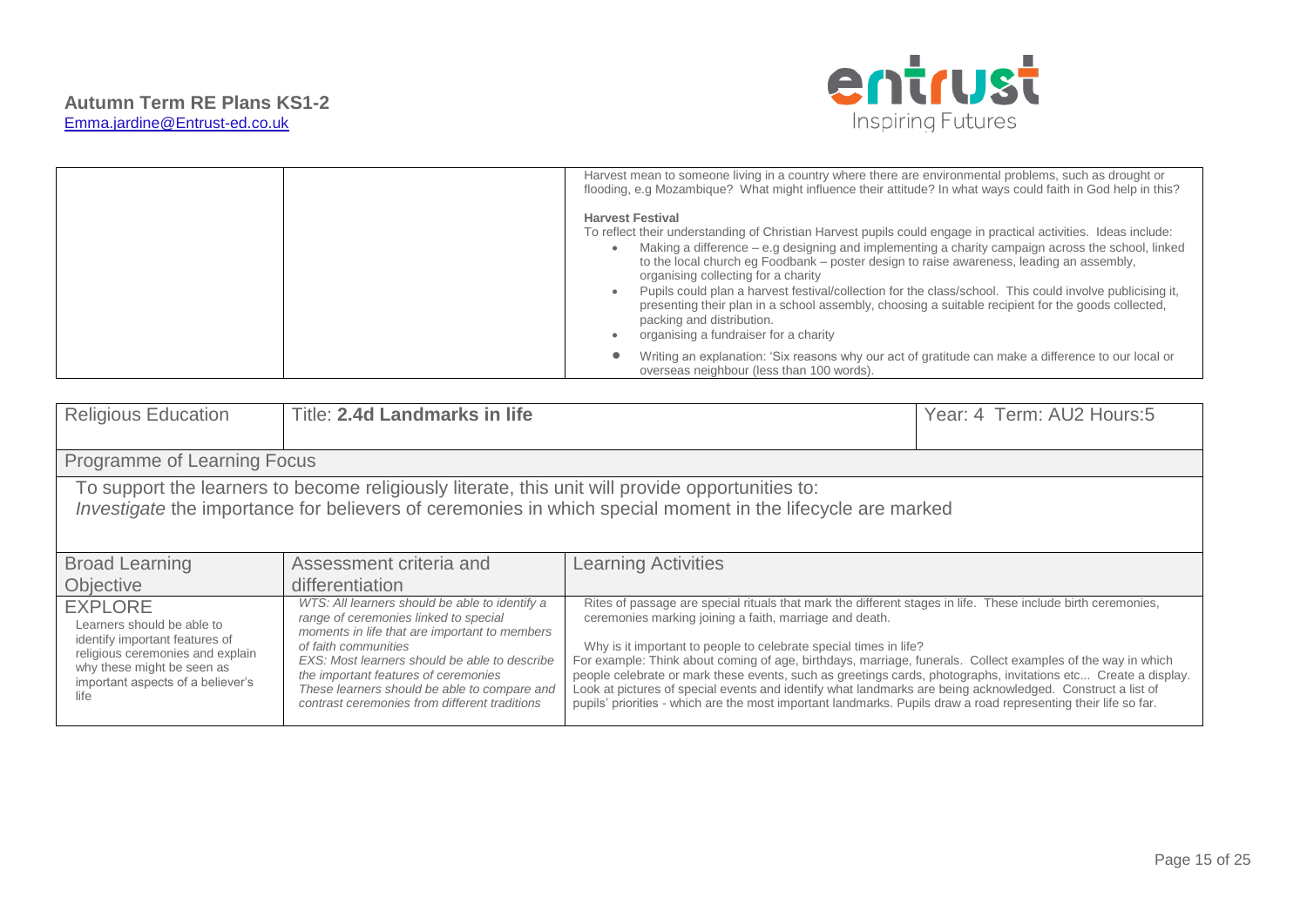

| Harvest mean to someone living in a country where there are environmental problems, such as drought or<br>flooding, e.g Mozambique? What might influence their attitude? In what ways could faith in God help in this?                                                                                                                                                                                                                                                                                                                                                                                                                                                       |
|------------------------------------------------------------------------------------------------------------------------------------------------------------------------------------------------------------------------------------------------------------------------------------------------------------------------------------------------------------------------------------------------------------------------------------------------------------------------------------------------------------------------------------------------------------------------------------------------------------------------------------------------------------------------------|
| <b>Harvest Festival</b><br>To reflect their understanding of Christian Harvest pupils could engage in practical activities. Ideas include:<br>Making a difference $-$ e.g designing and implementing a charity campaign across the school, linked<br>to the local church eq Foodbank – poster design to raise awareness, leading an assembly,<br>organising collecting for a charity<br>Pupils could plan a harvest festival/collection for the class/school. This could involve publicising it,<br>presenting their plan in a school assembly, choosing a suitable recipient for the goods collected,<br>packing and distribution.<br>organising a fundraiser for a charity |
| Writing an explanation: 'Six reasons why our act of gratitude can make a difference to our local or<br>overseas neighbour (less than 100 words).                                                                                                                                                                                                                                                                                                                                                                                                                                                                                                                             |

| <b>Religious Education</b>                                                                                                                                                                                     | <b>Title: 2.4d Landmarks in life</b>                                                                                                                                                                                                                                                                                                                       |                                                                                                                                                                                                                                                                                                                                                                                                                                                                                                                                                                                                                                                                                                                | Year: 4 Term: AU2 Hours: 5 |
|----------------------------------------------------------------------------------------------------------------------------------------------------------------------------------------------------------------|------------------------------------------------------------------------------------------------------------------------------------------------------------------------------------------------------------------------------------------------------------------------------------------------------------------------------------------------------------|----------------------------------------------------------------------------------------------------------------------------------------------------------------------------------------------------------------------------------------------------------------------------------------------------------------------------------------------------------------------------------------------------------------------------------------------------------------------------------------------------------------------------------------------------------------------------------------------------------------------------------------------------------------------------------------------------------------|----------------------------|
| Programme of Learning Focus                                                                                                                                                                                    |                                                                                                                                                                                                                                                                                                                                                            |                                                                                                                                                                                                                                                                                                                                                                                                                                                                                                                                                                                                                                                                                                                |                            |
| To support the learners to become religiously literate, this unit will provide opportunities to:<br>Investigate the importance for believers of ceremonies in which special moment in the lifecycle are marked |                                                                                                                                                                                                                                                                                                                                                            |                                                                                                                                                                                                                                                                                                                                                                                                                                                                                                                                                                                                                                                                                                                |                            |
| <b>Broad Learning</b><br>Objective                                                                                                                                                                             | Assessment criteria and<br>differentiation                                                                                                                                                                                                                                                                                                                 | <b>Learning Activities</b>                                                                                                                                                                                                                                                                                                                                                                                                                                                                                                                                                                                                                                                                                     |                            |
| <b>EXPLORE</b><br>Learners should be able to<br>identify important features of<br>religious ceremonies and explain<br>why these might be seen as<br>important aspects of a believer's<br>life                  | WTS: All learners should be able to identify a<br>range of ceremonies linked to special<br>moments in life that are important to members<br>of faith communities<br>EXS: Most learners should be able to describe<br>the important features of ceremonies<br>These learners should be able to compare and<br>contrast ceremonies from different traditions | Rites of passage are special rituals that mark the different stages in life. These include birth ceremonies,<br>ceremonies marking joining a faith, marriage and death.<br>Why is it important to people to celebrate special times in life?<br>For example: Think about coming of age, birthdays, marriage, funerals. Collect examples of the way in which<br>people celebrate or mark these events, such as greetings cards, photographs, invitations etc Create a display.<br>Look at pictures of special events and identify what landmarks are being acknowledged. Construct a list of<br>pupils' priorities - which are the most important landmarks. Pupils draw a road representing their life so far. |                            |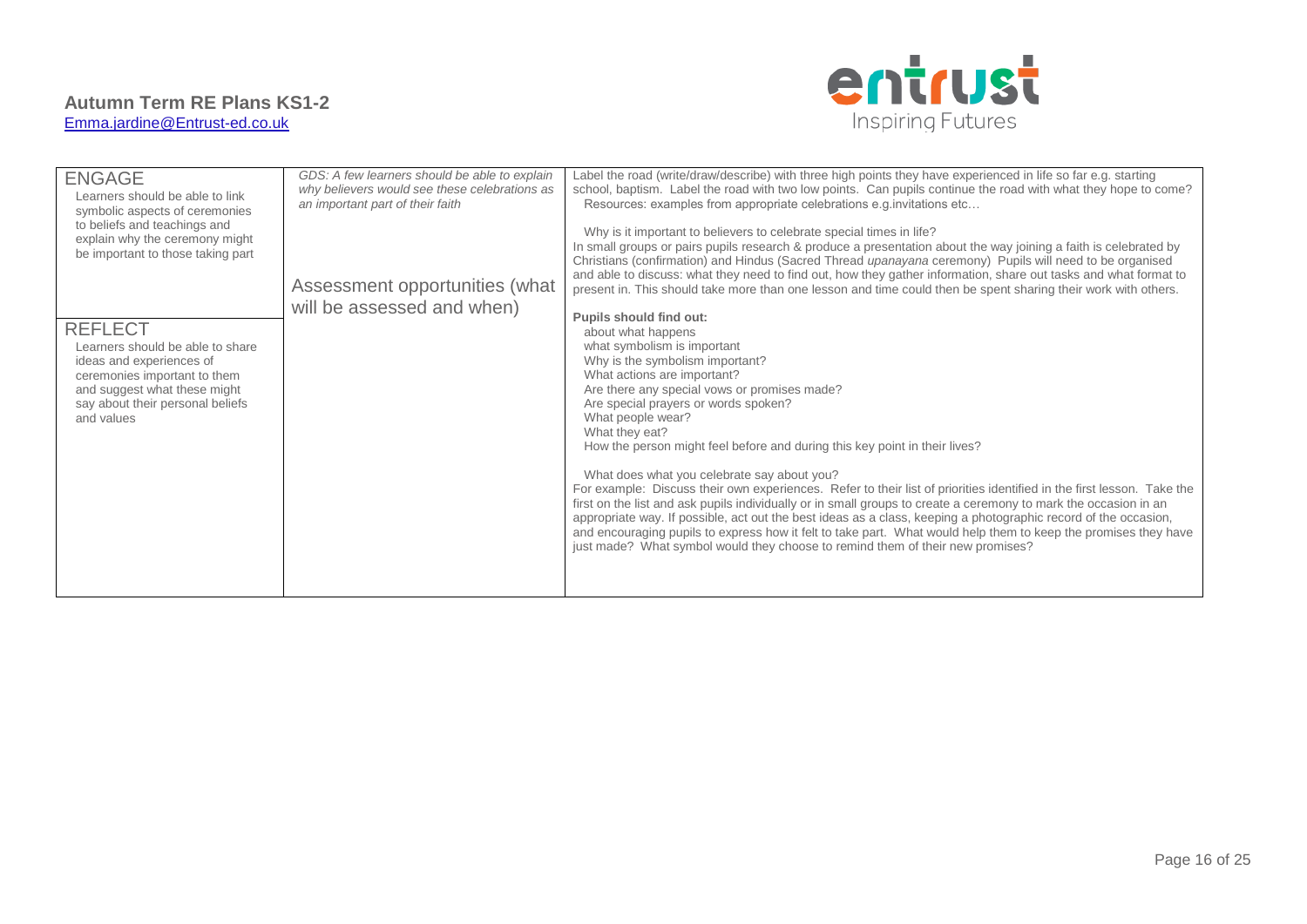

| <b>ENGAGE</b><br>Learners should be able to link<br>symbolic aspects of ceremonies<br>to beliefs and teachings and<br>explain why the ceremony might<br>be important to those taking part<br><b>REFLECT</b><br>Learners should be able to share<br>ideas and experiences of<br>ceremonies important to them<br>and suggest what these might<br>say about their personal beliefs<br>and values | GDS: A few learners should be able to explain<br>why believers would see these celebrations as<br>an important part of their faith<br>Assessment opportunities (what<br>will be assessed and when) | Label the road (write/draw/describe) with three high points they have experienced in life so far e.g. starting<br>school, baptism. Label the road with two low points. Can pupils continue the road with what they hope to come?<br>Resources: examples from appropriate celebrations e.g. invitations etc<br>Why is it important to believers to celebrate special times in life?<br>In small groups or pairs pupils research & produce a presentation about the way joining a faith is celebrated by<br>Christians (confirmation) and Hindus (Sacred Thread upanayana ceremony) Pupils will need to be organised<br>and able to discuss: what they need to find out, how they gather information, share out tasks and what format to<br>present in. This should take more than one lesson and time could then be spent sharing their work with others.<br>Pupils should find out:<br>about what happens<br>what symbolism is important<br>Why is the symbolism important?<br>What actions are important?<br>Are there any special vows or promises made?<br>Are special prayers or words spoken?<br>What people wear?<br>What they eat?<br>How the person might feel before and during this key point in their lives?<br>What does what you celebrate say about you?<br>For example: Discuss their own experiences. Refer to their list of priorities identified in the first lesson. Take the<br>first on the list and ask pupils individually or in small groups to create a ceremony to mark the occasion in an<br>appropriate way. If possible, act out the best ideas as a class, keeping a photographic record of the occasion,<br>and encouraging pupils to express how it felt to take part. What would help them to keep the promises they have<br>just made? What symbol would they choose to remind them of their new promises? |
|-----------------------------------------------------------------------------------------------------------------------------------------------------------------------------------------------------------------------------------------------------------------------------------------------------------------------------------------------------------------------------------------------|----------------------------------------------------------------------------------------------------------------------------------------------------------------------------------------------------|----------------------------------------------------------------------------------------------------------------------------------------------------------------------------------------------------------------------------------------------------------------------------------------------------------------------------------------------------------------------------------------------------------------------------------------------------------------------------------------------------------------------------------------------------------------------------------------------------------------------------------------------------------------------------------------------------------------------------------------------------------------------------------------------------------------------------------------------------------------------------------------------------------------------------------------------------------------------------------------------------------------------------------------------------------------------------------------------------------------------------------------------------------------------------------------------------------------------------------------------------------------------------------------------------------------------------------------------------------------------------------------------------------------------------------------------------------------------------------------------------------------------------------------------------------------------------------------------------------------------------------------------------------------------------------------------------------------------------------------------------------------------------------------------------------------------------------------------|
|-----------------------------------------------------------------------------------------------------------------------------------------------------------------------------------------------------------------------------------------------------------------------------------------------------------------------------------------------------------------------------------------------|----------------------------------------------------------------------------------------------------------------------------------------------------------------------------------------------------|----------------------------------------------------------------------------------------------------------------------------------------------------------------------------------------------------------------------------------------------------------------------------------------------------------------------------------------------------------------------------------------------------------------------------------------------------------------------------------------------------------------------------------------------------------------------------------------------------------------------------------------------------------------------------------------------------------------------------------------------------------------------------------------------------------------------------------------------------------------------------------------------------------------------------------------------------------------------------------------------------------------------------------------------------------------------------------------------------------------------------------------------------------------------------------------------------------------------------------------------------------------------------------------------------------------------------------------------------------------------------------------------------------------------------------------------------------------------------------------------------------------------------------------------------------------------------------------------------------------------------------------------------------------------------------------------------------------------------------------------------------------------------------------------------------------------------------------------|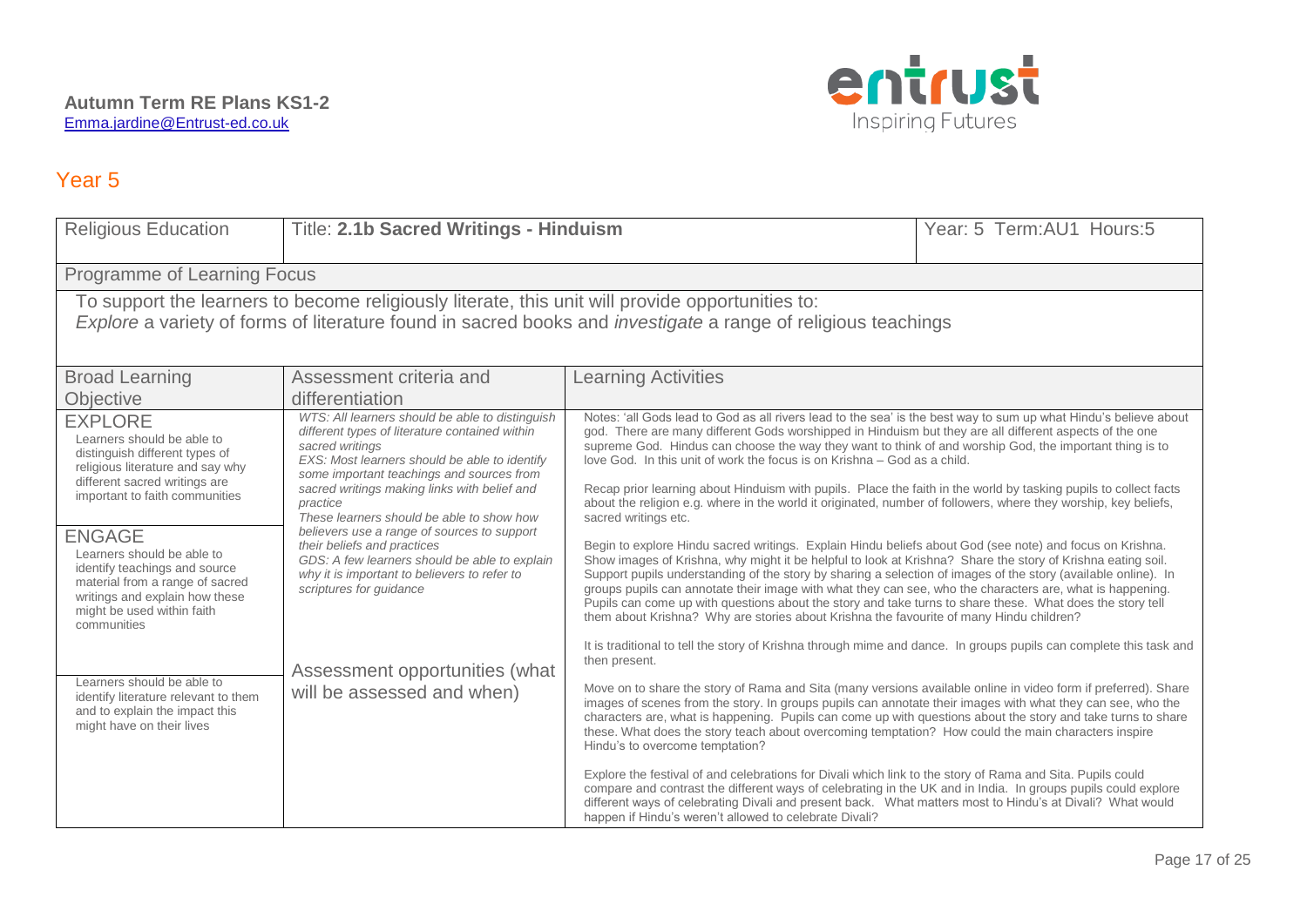

| <b>Religious Education</b>                                                                                                                                                                                                                                                                                                                                                                                            | Title: 2.1b Sacred Writings - Hinduism                                                                                                                                                                                                                                                                                                                                                                                                                                                                                                                                  |                                                                                                                                                                                                                                                                                                                                                                                                                                                                                                                                                                                                                                                                                                                                                                                                                                                                                                                                                                                                                                                                                                                                                                                                                                                                                                                                                                                                                                                                                                                                                                                                              | Year: 5 Term: AU1 Hours: 5 |
|-----------------------------------------------------------------------------------------------------------------------------------------------------------------------------------------------------------------------------------------------------------------------------------------------------------------------------------------------------------------------------------------------------------------------|-------------------------------------------------------------------------------------------------------------------------------------------------------------------------------------------------------------------------------------------------------------------------------------------------------------------------------------------------------------------------------------------------------------------------------------------------------------------------------------------------------------------------------------------------------------------------|--------------------------------------------------------------------------------------------------------------------------------------------------------------------------------------------------------------------------------------------------------------------------------------------------------------------------------------------------------------------------------------------------------------------------------------------------------------------------------------------------------------------------------------------------------------------------------------------------------------------------------------------------------------------------------------------------------------------------------------------------------------------------------------------------------------------------------------------------------------------------------------------------------------------------------------------------------------------------------------------------------------------------------------------------------------------------------------------------------------------------------------------------------------------------------------------------------------------------------------------------------------------------------------------------------------------------------------------------------------------------------------------------------------------------------------------------------------------------------------------------------------------------------------------------------------------------------------------------------------|----------------------------|
| Programme of Learning Focus                                                                                                                                                                                                                                                                                                                                                                                           |                                                                                                                                                                                                                                                                                                                                                                                                                                                                                                                                                                         |                                                                                                                                                                                                                                                                                                                                                                                                                                                                                                                                                                                                                                                                                                                                                                                                                                                                                                                                                                                                                                                                                                                                                                                                                                                                                                                                                                                                                                                                                                                                                                                                              |                            |
| To support the learners to become religiously literate, this unit will provide opportunities to:<br>Explore a variety of forms of literature found in sacred books and <i>investigate</i> a range of religious teachings                                                                                                                                                                                              |                                                                                                                                                                                                                                                                                                                                                                                                                                                                                                                                                                         |                                                                                                                                                                                                                                                                                                                                                                                                                                                                                                                                                                                                                                                                                                                                                                                                                                                                                                                                                                                                                                                                                                                                                                                                                                                                                                                                                                                                                                                                                                                                                                                                              |                            |
| <b>Broad Learning</b><br>Objective                                                                                                                                                                                                                                                                                                                                                                                    | Assessment criteria and<br>differentiation                                                                                                                                                                                                                                                                                                                                                                                                                                                                                                                              | <b>Learning Activities</b>                                                                                                                                                                                                                                                                                                                                                                                                                                                                                                                                                                                                                                                                                                                                                                                                                                                                                                                                                                                                                                                                                                                                                                                                                                                                                                                                                                                                                                                                                                                                                                                   |                            |
| <b>EXPLORE</b><br>Learners should be able to<br>distinguish different types of<br>religious literature and say why<br>different sacred writings are<br>important to faith communities<br><b>ENGAGE</b><br>Learners should be able to<br>identify teachings and source<br>material from a range of sacred<br>writings and explain how these<br>might be used within faith<br>communities<br>Learners should be able to | WTS: All learners should be able to distinguish<br>different types of literature contained within<br>sacred writings<br>EXS: Most learners should be able to identify<br>some important teachings and sources from<br>sacred writings making links with belief and<br>practice<br>These learners should be able to show how<br>believers use a range of sources to support<br>their beliefs and practices<br>GDS: A few learners should be able to explain<br>why it is important to believers to refer to<br>scriptures for guidance<br>Assessment opportunities (what | Notes: 'all Gods lead to God as all rivers lead to the sea' is the best way to sum up what Hindu's believe about<br>god. There are many different Gods worshipped in Hinduism but they are all different aspects of the one<br>supreme God. Hindus can choose the way they want to think of and worship God, the important thing is to<br>love God. In this unit of work the focus is on Krishna – God as a child.<br>Recap prior learning about Hinduism with pupils. Place the faith in the world by tasking pupils to collect facts<br>about the religion e.g. where in the world it originated, number of followers, where they worship, key beliefs,<br>sacred writings etc.<br>Begin to explore Hindu sacred writings. Explain Hindu beliefs about God (see note) and focus on Krishna.<br>Show images of Krishna, why might it be helpful to look at Krishna? Share the story of Krishna eating soil.<br>Support pupils understanding of the story by sharing a selection of images of the story (available online). In<br>groups pupils can annotate their image with what they can see, who the characters are, what is happening.<br>Pupils can come up with questions about the story and take turns to share these. What does the story tell<br>them about Krishna? Why are stories about Krishna the favourite of many Hindu children?<br>It is traditional to tell the story of Krishna through mime and dance. In groups pupils can complete this task and<br>then present.<br>Move on to share the story of Rama and Sita (many versions available online in video form if preferred). Share |                            |
| identify literature relevant to them<br>and to explain the impact this<br>might have on their lives                                                                                                                                                                                                                                                                                                                   | will be assessed and when)                                                                                                                                                                                                                                                                                                                                                                                                                                                                                                                                              | images of scenes from the story. In groups pupils can annotate their images with what they can see, who the<br>characters are, what is happening. Pupils can come up with questions about the story and take turns to share<br>these. What does the story teach about overcoming temptation? How could the main characters inspire<br>Hindu's to overcome temptation?<br>Explore the festival of and celebrations for Divali which link to the story of Rama and Sita. Pupils could<br>compare and contrast the different ways of celebrating in the UK and in India. In groups pupils could explore<br>different ways of celebrating Divali and present back. What matters most to Hindu's at Divali? What would<br>happen if Hindu's weren't allowed to celebrate Divali?                                                                                                                                                                                                                                                                                                                                                                                                                                                                                                                                                                                                                                                                                                                                                                                                                                  |                            |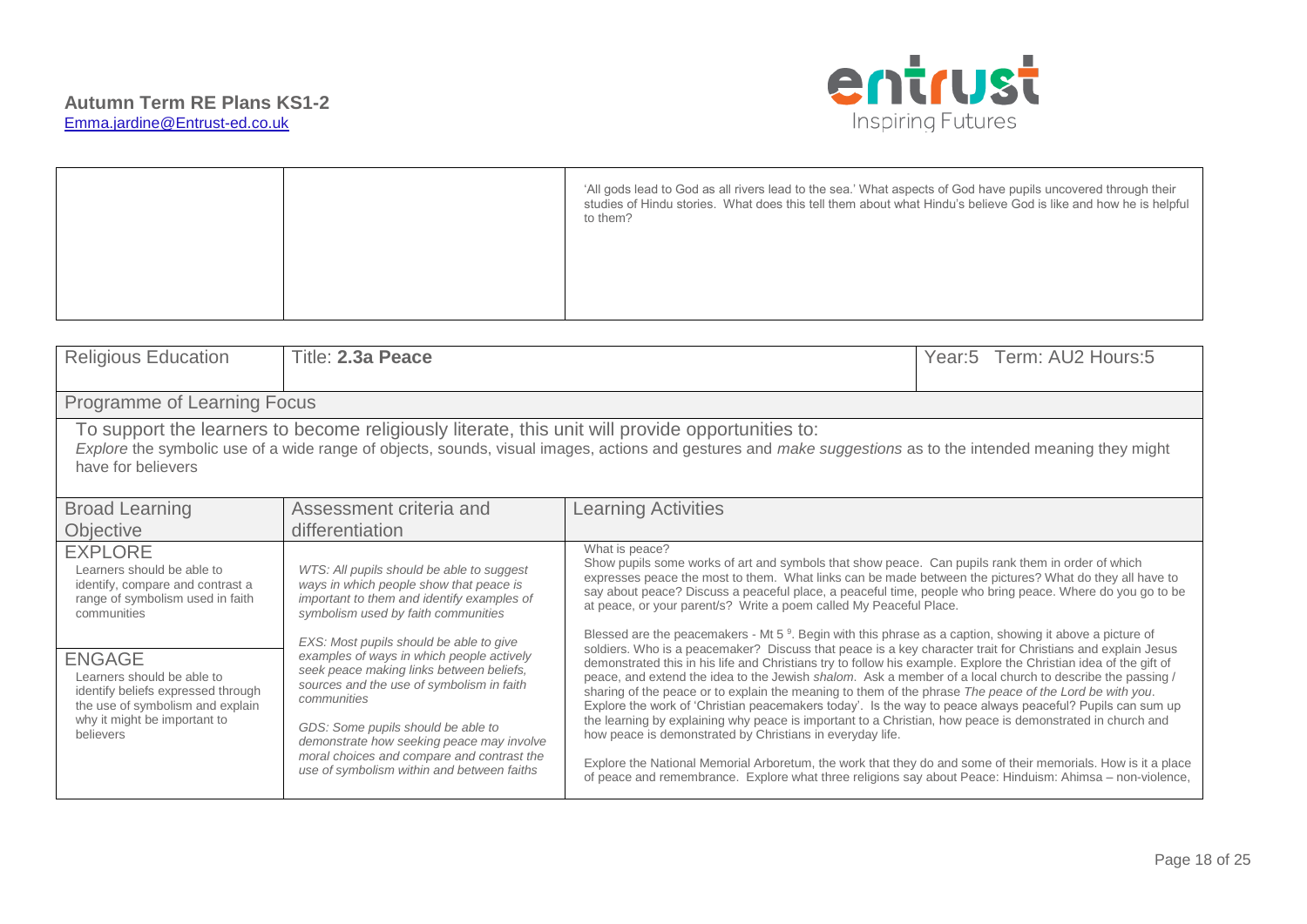

| <b>Religious Education</b>                                                                                                                                                                                                                                                            | Title: 2.3a Peace                                                                                                                                                                                                                                                                                                                                                           |                                                                                                                                                                                                                                                                                                                                                                                                                                                                                                                                                                                                                                                                                                                                                                                                                                                                                                                                                                                                                                                                                                      | Year:5 Term: AU2 Hours:5 |
|---------------------------------------------------------------------------------------------------------------------------------------------------------------------------------------------------------------------------------------------------------------------------------------|-----------------------------------------------------------------------------------------------------------------------------------------------------------------------------------------------------------------------------------------------------------------------------------------------------------------------------------------------------------------------------|------------------------------------------------------------------------------------------------------------------------------------------------------------------------------------------------------------------------------------------------------------------------------------------------------------------------------------------------------------------------------------------------------------------------------------------------------------------------------------------------------------------------------------------------------------------------------------------------------------------------------------------------------------------------------------------------------------------------------------------------------------------------------------------------------------------------------------------------------------------------------------------------------------------------------------------------------------------------------------------------------------------------------------------------------------------------------------------------------|--------------------------|
| Programme of Learning Focus                                                                                                                                                                                                                                                           |                                                                                                                                                                                                                                                                                                                                                                             |                                                                                                                                                                                                                                                                                                                                                                                                                                                                                                                                                                                                                                                                                                                                                                                                                                                                                                                                                                                                                                                                                                      |                          |
| To support the learners to become religiously literate, this unit will provide opportunities to:<br>Explore the symbolic use of a wide range of objects, sounds, visual images, actions and gestures and make suggestions as to the intended meaning they might<br>have for believers |                                                                                                                                                                                                                                                                                                                                                                             |                                                                                                                                                                                                                                                                                                                                                                                                                                                                                                                                                                                                                                                                                                                                                                                                                                                                                                                                                                                                                                                                                                      |                          |
| <b>Broad Learning</b>                                                                                                                                                                                                                                                                 | Assessment criteria and                                                                                                                                                                                                                                                                                                                                                     | <b>Learning Activities</b>                                                                                                                                                                                                                                                                                                                                                                                                                                                                                                                                                                                                                                                                                                                                                                                                                                                                                                                                                                                                                                                                           |                          |
| Objective                                                                                                                                                                                                                                                                             | differentiation                                                                                                                                                                                                                                                                                                                                                             |                                                                                                                                                                                                                                                                                                                                                                                                                                                                                                                                                                                                                                                                                                                                                                                                                                                                                                                                                                                                                                                                                                      |                          |
| <b>EXPLORE</b><br>Learners should be able to<br>identify, compare and contrast a<br>range of symbolism used in faith<br>communities                                                                                                                                                   | WTS: All pupils should be able to suggest<br>ways in which people show that peace is<br>important to them and identify examples of<br>symbolism used by faith communities                                                                                                                                                                                                   | What is peace?<br>Show pupils some works of art and symbols that show peace. Can pupils rank them in order of which<br>expresses peace the most to them. What links can be made between the pictures? What do they all have to<br>say about peace? Discuss a peaceful place, a peaceful time, people who bring peace. Where do you go to be<br>at peace, or your parent/s? Write a poem called My Peaceful Place.                                                                                                                                                                                                                                                                                                                                                                                                                                                                                                                                                                                                                                                                                    |                          |
| <b>ENGAGE</b><br>Learners should be able to<br>identify beliefs expressed through<br>the use of symbolism and explain<br>why it might be important to<br>believers                                                                                                                    | EXS: Most pupils should be able to give<br>examples of ways in which people actively<br>seek peace making links between beliefs,<br>sources and the use of symbolism in faith<br>communities<br>GDS: Some pupils should be able to<br>demonstrate how seeking peace may involve<br>moral choices and compare and contrast the<br>use of symbolism within and between faiths | Blessed are the peacemakers - Mt 5 <sup>9</sup> . Begin with this phrase as a caption, showing it above a picture of<br>soldiers. Who is a peacemaker? Discuss that peace is a key character trait for Christians and explain Jesus<br>demonstrated this in his life and Christians try to follow his example. Explore the Christian idea of the gift of<br>peace, and extend the idea to the Jewish shalom. Ask a member of a local church to describe the passing /<br>sharing of the peace or to explain the meaning to them of the phrase The peace of the Lord be with you.<br>Explore the work of 'Christian peacemakers today'. Is the way to peace always peaceful? Pupils can sum up<br>the learning by explaining why peace is important to a Christian, how peace is demonstrated in church and<br>how peace is demonstrated by Christians in everyday life.<br>Explore the National Memorial Arboretum, the work that they do and some of their memorials. How is it a place<br>of peace and remembrance. Explore what three religions say about Peace: Hinduism: Ahimsa – non-violence, |                          |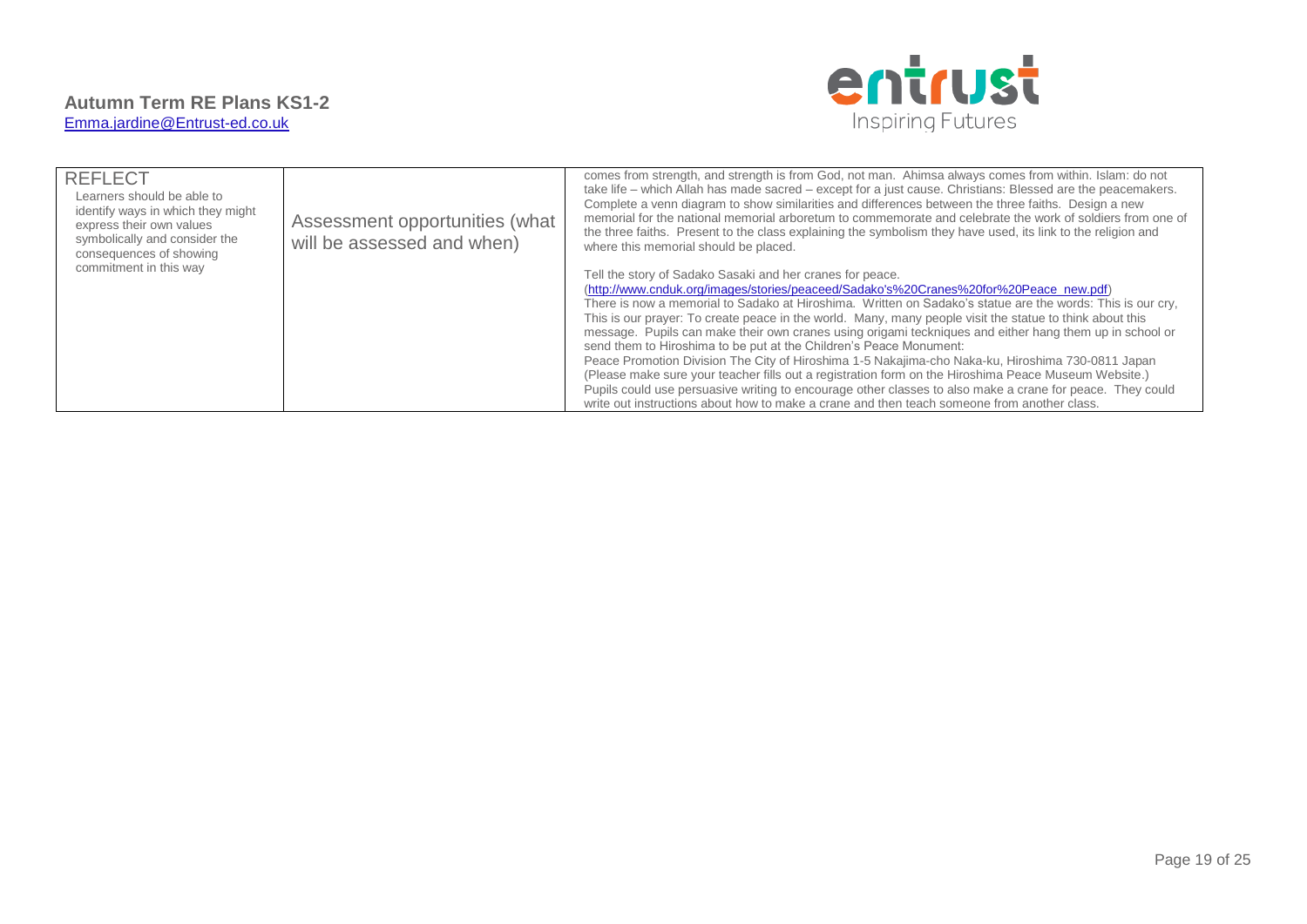

| <b>REFLECT</b><br>Learners should be able to<br>identify ways in which they might<br>express their own values<br>symbolically and consider the<br>consequences of showing | Assessment opportunities (what<br>will be assessed and when) | comes from strength, and strength is from God, not man. Ahimsa always comes from within. Islam: do not<br>take life - which Allah has made sacred - except for a just cause. Christians: Blessed are the peacemakers.<br>Complete a venn diagram to show similarities and differences between the three faiths. Design a new<br>memorial for the national memorial arboretum to commemorate and celebrate the work of soldiers from one of<br>the three faiths. Present to the class explaining the symbolism they have used, its link to the religion and<br>where this memorial should be placed.                                                                                                                                                                                                                                                                                                                                                                                    |
|---------------------------------------------------------------------------------------------------------------------------------------------------------------------------|--------------------------------------------------------------|----------------------------------------------------------------------------------------------------------------------------------------------------------------------------------------------------------------------------------------------------------------------------------------------------------------------------------------------------------------------------------------------------------------------------------------------------------------------------------------------------------------------------------------------------------------------------------------------------------------------------------------------------------------------------------------------------------------------------------------------------------------------------------------------------------------------------------------------------------------------------------------------------------------------------------------------------------------------------------------|
| commitment in this way                                                                                                                                                    |                                                              | Tell the story of Sadako Sasaki and her cranes for peace.<br>(http://www.cnduk.org/images/stories/peaceed/Sadako's%20Cranes%20for%20Peace_new.pdf)<br>There is now a memorial to Sadako at Hiroshima. Written on Sadako's statue are the words: This is our cry,<br>This is our prayer: To create peace in the world. Many, many people visit the statue to think about this<br>message. Pupils can make their own cranes using origami teckniques and either hang them up in school or<br>send them to Hiroshima to be put at the Children's Peace Monument:<br>Peace Promotion Division The City of Hiroshima 1-5 Nakajima-cho Naka-ku, Hiroshima 730-0811 Japan<br>(Please make sure your teacher fills out a registration form on the Hiroshima Peace Museum Website.)<br>Pupils could use persuasive writing to encourage other classes to also make a crane for peace. They could<br>write out instructions about how to make a crane and then teach someone from another class. |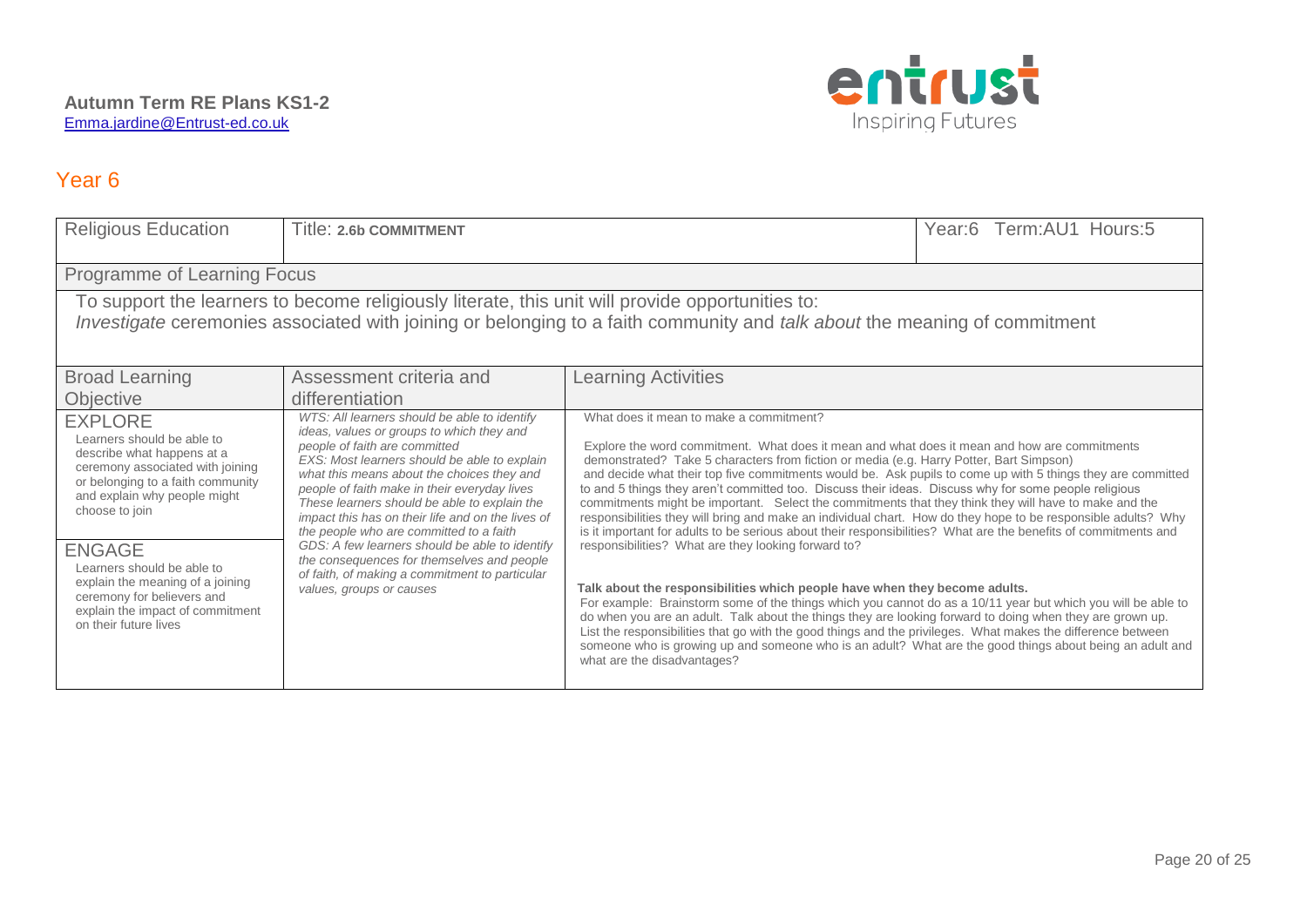

| <b>Religious Education</b>                                                                                                                                                                                                                                                                                                                                                          | Title: 2.6b COMMITMENT                                                                                                                                                                                                                                                                                                                                                                                                                                                                                                                                 |                                                                                                                                                                                                                                                                                                                                                                                                                                                                                                                                                                                                                                                                                                                                                                                                                                                                                                                                                                                                                                                                                                                                                                                                                                                                                                                                                                                           | Year:6 Term:AU1 Hours:5 |
|-------------------------------------------------------------------------------------------------------------------------------------------------------------------------------------------------------------------------------------------------------------------------------------------------------------------------------------------------------------------------------------|--------------------------------------------------------------------------------------------------------------------------------------------------------------------------------------------------------------------------------------------------------------------------------------------------------------------------------------------------------------------------------------------------------------------------------------------------------------------------------------------------------------------------------------------------------|-------------------------------------------------------------------------------------------------------------------------------------------------------------------------------------------------------------------------------------------------------------------------------------------------------------------------------------------------------------------------------------------------------------------------------------------------------------------------------------------------------------------------------------------------------------------------------------------------------------------------------------------------------------------------------------------------------------------------------------------------------------------------------------------------------------------------------------------------------------------------------------------------------------------------------------------------------------------------------------------------------------------------------------------------------------------------------------------------------------------------------------------------------------------------------------------------------------------------------------------------------------------------------------------------------------------------------------------------------------------------------------------|-------------------------|
| Programme of Learning Focus                                                                                                                                                                                                                                                                                                                                                         |                                                                                                                                                                                                                                                                                                                                                                                                                                                                                                                                                        |                                                                                                                                                                                                                                                                                                                                                                                                                                                                                                                                                                                                                                                                                                                                                                                                                                                                                                                                                                                                                                                                                                                                                                                                                                                                                                                                                                                           |                         |
| To support the learners to become religiously literate, this unit will provide opportunities to:<br>Investigate ceremonies associated with joining or belonging to a faith community and talk about the meaning of commitment                                                                                                                                                       |                                                                                                                                                                                                                                                                                                                                                                                                                                                                                                                                                        |                                                                                                                                                                                                                                                                                                                                                                                                                                                                                                                                                                                                                                                                                                                                                                                                                                                                                                                                                                                                                                                                                                                                                                                                                                                                                                                                                                                           |                         |
| <b>Broad Learning</b>                                                                                                                                                                                                                                                                                                                                                               | Assessment criteria and                                                                                                                                                                                                                                                                                                                                                                                                                                                                                                                                | <b>Learning Activities</b>                                                                                                                                                                                                                                                                                                                                                                                                                                                                                                                                                                                                                                                                                                                                                                                                                                                                                                                                                                                                                                                                                                                                                                                                                                                                                                                                                                |                         |
| Objective                                                                                                                                                                                                                                                                                                                                                                           | differentiation<br>WTS: All learners should be able to identify                                                                                                                                                                                                                                                                                                                                                                                                                                                                                        | What does it mean to make a commitment?                                                                                                                                                                                                                                                                                                                                                                                                                                                                                                                                                                                                                                                                                                                                                                                                                                                                                                                                                                                                                                                                                                                                                                                                                                                                                                                                                   |                         |
| <b>EXPLORE</b><br>Learners should be able to<br>describe what happens at a<br>ceremony associated with joining<br>or belonging to a faith community<br>and explain why people might<br>choose to join<br><b>ENGAGE</b><br>Learners should be able to<br>explain the meaning of a joining<br>ceremony for believers and<br>explain the impact of commitment<br>on their future lives | ideas, values or groups to which they and<br>people of faith are committed<br>EXS: Most learners should be able to explain<br>what this means about the choices they and<br>people of faith make in their everyday lives<br>These learners should be able to explain the<br>impact this has on their life and on the lives of<br>the people who are committed to a faith<br>GDS: A few learners should be able to identify<br>the consequences for themselves and people<br>of faith, of making a commitment to particular<br>values, groups or causes | Explore the word commitment. What does it mean and what does it mean and how are commitments<br>demonstrated? Take 5 characters from fiction or media (e.g. Harry Potter, Bart Simpson)<br>and decide what their top five commitments would be. Ask pupils to come up with 5 things they are committed<br>to and 5 things they aren't committed too. Discuss their ideas. Discuss why for some people religious<br>commitments might be important. Select the commitments that they think they will have to make and the<br>responsibilities they will bring and make an individual chart. How do they hope to be responsible adults? Why<br>is it important for adults to be serious about their responsibilities? What are the benefits of commitments and<br>responsibilities? What are they looking forward to?<br>Talk about the responsibilities which people have when they become adults.<br>For example: Brainstorm some of the things which you cannot do as a 10/11 year but which you will be able to<br>do when you are an adult. Talk about the things they are looking forward to doing when they are grown up.<br>List the responsibilities that go with the good things and the privileges. What makes the difference between<br>someone who is growing up and someone who is an adult? What are the good things about being an adult and<br>what are the disadvantages? |                         |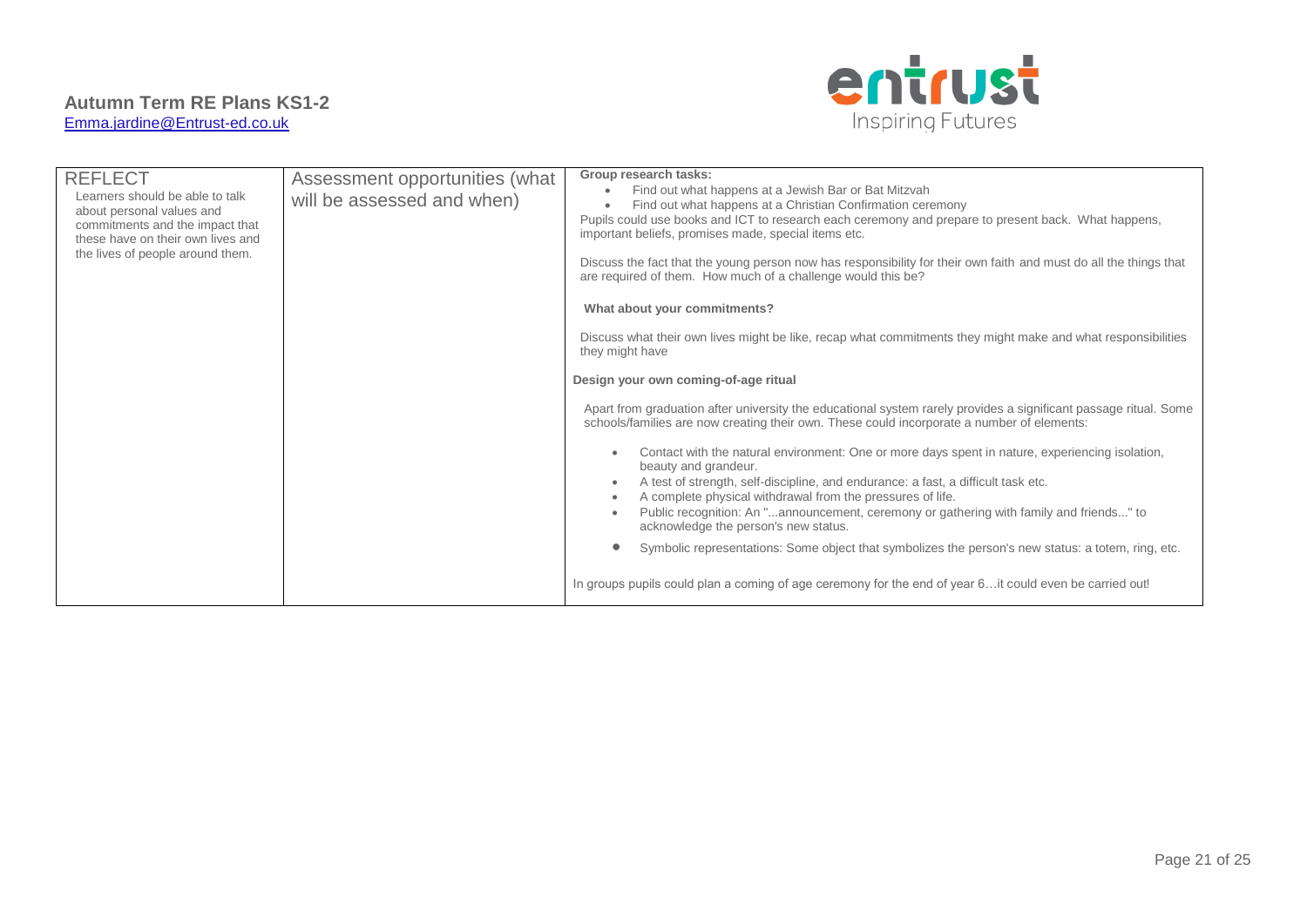

| <b>REFLECT</b><br>Learners should be able to talk<br>about personal values and<br>commitments and the impact that<br>these have on their own lives and<br>the lives of people around them. | Assessment opportunities (what<br>will be assessed and when) | Group research tasks:<br>Find out what happens at a Jewish Bar or Bat Mitzvah<br>Find out what happens at a Christian Confirmation ceremony<br>Pupils could use books and ICT to research each ceremony and prepare to present back. What happens,<br>important beliefs, promises made, special items etc.<br>Discuss the fact that the young person now has responsibility for their own faith and must do all the things that<br>are required of them. How much of a challenge would this be?<br>What about your commitments?<br>Discuss what their own lives might be like, recap what commitments they might make and what responsibilities<br>they might have<br>Design your own coming-of-age ritual<br>Apart from graduation after university the educational system rarely provides a significant passage ritual. Some<br>schools/families are now creating their own. These could incorporate a number of elements:<br>Contact with the natural environment: One or more days spent in nature, experiencing isolation,<br>beauty and grandeur.<br>A test of strength, self-discipline, and endurance: a fast, a difficult task etc.<br>A complete physical withdrawal from the pressures of life.<br>Public recognition: An "announcement, ceremony or gathering with family and friends" to<br>acknowledge the person's new status.<br>Symbolic representations: Some object that symbolizes the person's new status: a totem, ring, etc. |
|--------------------------------------------------------------------------------------------------------------------------------------------------------------------------------------------|--------------------------------------------------------------|-----------------------------------------------------------------------------------------------------------------------------------------------------------------------------------------------------------------------------------------------------------------------------------------------------------------------------------------------------------------------------------------------------------------------------------------------------------------------------------------------------------------------------------------------------------------------------------------------------------------------------------------------------------------------------------------------------------------------------------------------------------------------------------------------------------------------------------------------------------------------------------------------------------------------------------------------------------------------------------------------------------------------------------------------------------------------------------------------------------------------------------------------------------------------------------------------------------------------------------------------------------------------------------------------------------------------------------------------------------------------------------------------------------------------------------------------------|
|                                                                                                                                                                                            |                                                              | In groups pupils could plan a coming of age ceremony for the end of year 6 it could even be carried out!                                                                                                                                                                                                                                                                                                                                                                                                                                                                                                                                                                                                                                                                                                                                                                                                                                                                                                                                                                                                                                                                                                                                                                                                                                                                                                                                            |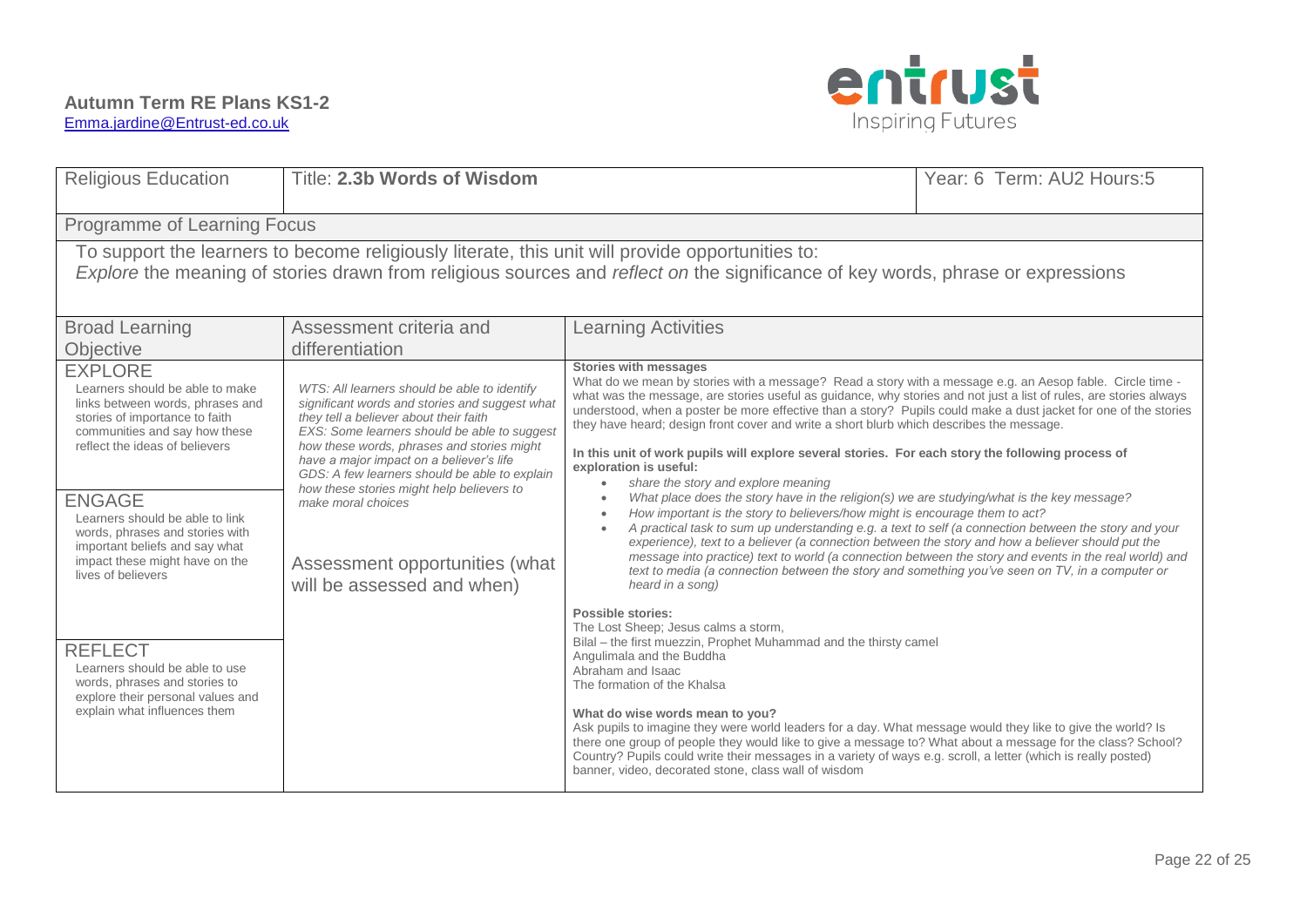

| <b>Religious Education</b>                                                                                                                                                                                                                                                                                                                                                                                                                                                                                                            | Title: 2.3b Words of Wisdom                                                                                                                                                                                                                                                                                                                                                                                                                                            | Year: 6 Term: AU2 Hours: 5                                                                                                                                                                                                                                                                                                                                                                                                                                                                                                                                                                                                                                                                                                                                                                                                                                                                                                                                                                                                                                                                                                                                                                                                                                                                                                                                                                                                                                                                                                                                                                                                                                                                                                                                                                                                                                                                                                                                                                    |  |  |  |  |  |  |
|---------------------------------------------------------------------------------------------------------------------------------------------------------------------------------------------------------------------------------------------------------------------------------------------------------------------------------------------------------------------------------------------------------------------------------------------------------------------------------------------------------------------------------------|------------------------------------------------------------------------------------------------------------------------------------------------------------------------------------------------------------------------------------------------------------------------------------------------------------------------------------------------------------------------------------------------------------------------------------------------------------------------|-----------------------------------------------------------------------------------------------------------------------------------------------------------------------------------------------------------------------------------------------------------------------------------------------------------------------------------------------------------------------------------------------------------------------------------------------------------------------------------------------------------------------------------------------------------------------------------------------------------------------------------------------------------------------------------------------------------------------------------------------------------------------------------------------------------------------------------------------------------------------------------------------------------------------------------------------------------------------------------------------------------------------------------------------------------------------------------------------------------------------------------------------------------------------------------------------------------------------------------------------------------------------------------------------------------------------------------------------------------------------------------------------------------------------------------------------------------------------------------------------------------------------------------------------------------------------------------------------------------------------------------------------------------------------------------------------------------------------------------------------------------------------------------------------------------------------------------------------------------------------------------------------------------------------------------------------------------------------------------------------|--|--|--|--|--|--|
| Programme of Learning Focus                                                                                                                                                                                                                                                                                                                                                                                                                                                                                                           |                                                                                                                                                                                                                                                                                                                                                                                                                                                                        |                                                                                                                                                                                                                                                                                                                                                                                                                                                                                                                                                                                                                                                                                                                                                                                                                                                                                                                                                                                                                                                                                                                                                                                                                                                                                                                                                                                                                                                                                                                                                                                                                                                                                                                                                                                                                                                                                                                                                                                               |  |  |  |  |  |  |
| To support the learners to become religiously literate, this unit will provide opportunities to:<br>Explore the meaning of stories drawn from religious sources and reflect on the significance of key words, phrase or expressions                                                                                                                                                                                                                                                                                                   |                                                                                                                                                                                                                                                                                                                                                                                                                                                                        |                                                                                                                                                                                                                                                                                                                                                                                                                                                                                                                                                                                                                                                                                                                                                                                                                                                                                                                                                                                                                                                                                                                                                                                                                                                                                                                                                                                                                                                                                                                                                                                                                                                                                                                                                                                                                                                                                                                                                                                               |  |  |  |  |  |  |
| <b>Broad Learning</b><br>Objective                                                                                                                                                                                                                                                                                                                                                                                                                                                                                                    | Assessment criteria and<br>differentiation                                                                                                                                                                                                                                                                                                                                                                                                                             | <b>Learning Activities</b>                                                                                                                                                                                                                                                                                                                                                                                                                                                                                                                                                                                                                                                                                                                                                                                                                                                                                                                                                                                                                                                                                                                                                                                                                                                                                                                                                                                                                                                                                                                                                                                                                                                                                                                                                                                                                                                                                                                                                                    |  |  |  |  |  |  |
| <b>EXPLORE</b><br>Learners should be able to make<br>links between words, phrases and<br>stories of importance to faith<br>communities and say how these<br>reflect the ideas of believers<br><b>ENGAGE</b><br>Learners should be able to link<br>words, phrases and stories with<br>important beliefs and say what<br>impact these might have on the<br>lives of believers<br><b>REFLECT</b><br>Learners should be able to use<br>words, phrases and stories to<br>explore their personal values and<br>explain what influences them | WTS: All learners should be able to identify<br>significant words and stories and suggest what<br>they tell a believer about their faith<br>EXS: Some learners should be able to suggest<br>how these words, phrases and stories might<br>have a major impact on a believer's life<br>GDS: A few learners should be able to explain<br>how these stories might help believers to<br>make moral choices<br>Assessment opportunities (what<br>will be assessed and when) | <b>Stories with messages</b><br>What do we mean by stories with a message? Read a story with a message e.g. an Aesop fable. Circle time -<br>what was the message, are stories useful as guidance, why stories and not just a list of rules, are stories always<br>understood, when a poster be more effective than a story? Pupils could make a dust jacket for one of the stories<br>they have heard; design front cover and write a short blurb which describes the message.<br>In this unit of work pupils will explore several stories. For each story the following process of<br>exploration is useful:<br>share the story and explore meaning<br>$\bullet$<br>What place does the story have in the religion(s) we are studying/what is the key message?<br>How important is the story to believers/how might is encourage them to act?<br>$\bullet$<br>A practical task to sum up understanding e.g. a text to self (a connection between the story and your<br>$\bullet$<br>experience), text to a believer (a connection between the story and how a believer should put the<br>message into practice) text to world (a connection between the story and events in the real world) and<br>text to media (a connection between the story and something you've seen on TV, in a computer or<br>heard in a song)<br><b>Possible stories:</b><br>The Lost Sheep; Jesus calms a storm,<br>Bilal - the first muezzin, Prophet Muhammad and the thirsty camel<br>Angulimala and the Buddha<br>Abraham and Isaac<br>The formation of the Khalsa<br>What do wise words mean to you?<br>Ask pupils to imagine they were world leaders for a day. What message would they like to give the world? Is<br>there one group of people they would like to give a message to? What about a message for the class? School?<br>Country? Pupils could write their messages in a variety of ways e.g. scroll, a letter (which is really posted)<br>banner, video, decorated stone, class wall of wisdom |  |  |  |  |  |  |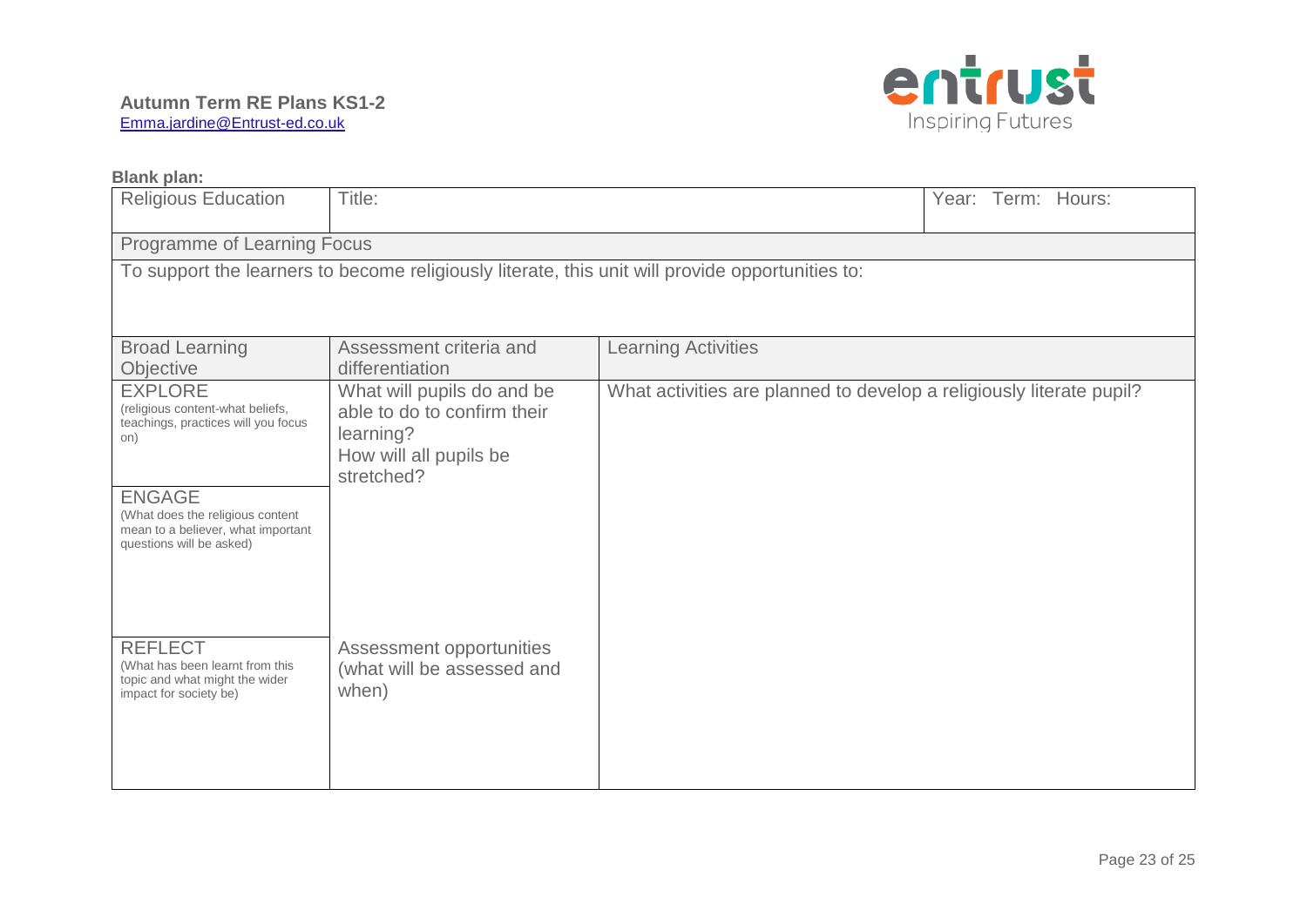

| <b>Blank plan:</b>                                                                                                                                                                                                      |                                                                                                                |                                                                      |  |  |  |  |  |  |  |  |
|-------------------------------------------------------------------------------------------------------------------------------------------------------------------------------------------------------------------------|----------------------------------------------------------------------------------------------------------------|----------------------------------------------------------------------|--|--|--|--|--|--|--|--|
| <b>Religious Education</b>                                                                                                                                                                                              | Title:                                                                                                         | Year: Term: Hours:                                                   |  |  |  |  |  |  |  |  |
| Programme of Learning Focus                                                                                                                                                                                             |                                                                                                                |                                                                      |  |  |  |  |  |  |  |  |
|                                                                                                                                                                                                                         | To support the learners to become religiously literate, this unit will provide opportunities to:               |                                                                      |  |  |  |  |  |  |  |  |
| <b>Broad Learning</b><br>Objective                                                                                                                                                                                      | <b>Learning Activities</b><br>Assessment criteria and<br>differentiation                                       |                                                                      |  |  |  |  |  |  |  |  |
| <b>EXPLORE</b><br>(religious content-what beliefs,<br>teachings, practices will you focus<br>on)<br><b>ENGAGE</b><br>(What does the religious content<br>mean to a believer, what important<br>questions will be asked) | What will pupils do and be<br>able to do to confirm their<br>learning?<br>How will all pupils be<br>stretched? | What activities are planned to develop a religiously literate pupil? |  |  |  |  |  |  |  |  |
| <b>REFLECT</b><br>(What has been learnt from this<br>topic and what might the wider<br>impact for society be)                                                                                                           | Assessment opportunities<br>(what will be assessed and<br>when)                                                |                                                                      |  |  |  |  |  |  |  |  |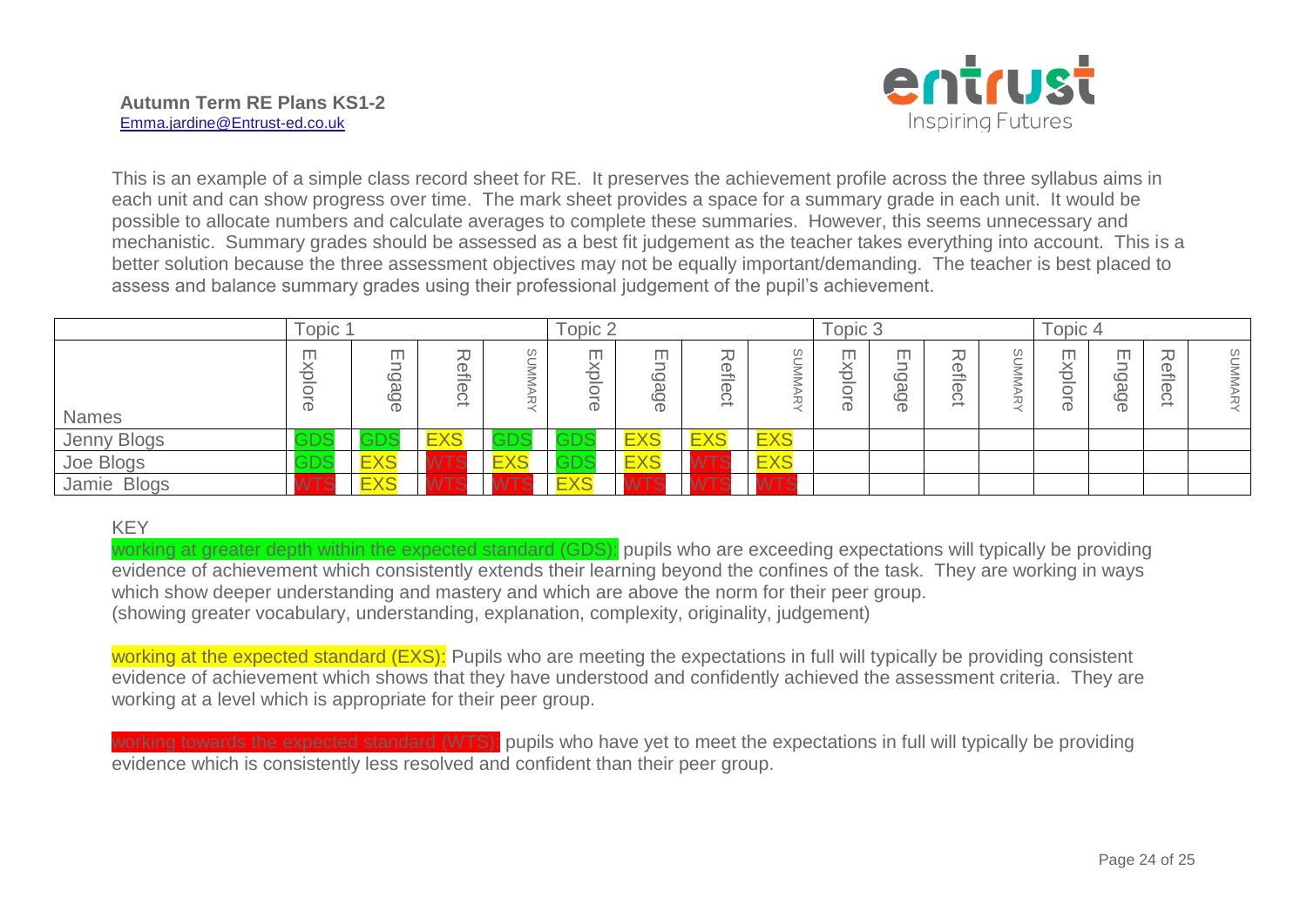

This is an example of a simple class record sheet for RE. It preserves the achievement profile across the three syllabus aims in each unit and can show progress over time. The mark sheet provides a space for a summary grade in each unit. It would be possible to allocate numbers and calculate averages to complete these summaries. However, this seems unnecessary and mechanistic. Summary grades should be assessed as a best fit judgement as the teacher takes everything into account. This is a better solution because the three assessment objectives may not be equally important/demanding. The teacher is best placed to assess and balance summary grades using their professional judgement of the pupil's achievement.

|              | Topic                 |            |            |                                         | Topic 2                              |                                        |                                               | Topic 3                                      |                  |                                |                                                                          | Topic 4                                                   |                                  |                                |                                                                                                                                                                                                                                                                                                                                                                                                                                                                                                                                 |                               |
|--------------|-----------------------|------------|------------|-----------------------------------------|--------------------------------------|----------------------------------------|-----------------------------------------------|----------------------------------------------|------------------|--------------------------------|--------------------------------------------------------------------------|-----------------------------------------------------------|----------------------------------|--------------------------------|---------------------------------------------------------------------------------------------------------------------------------------------------------------------------------------------------------------------------------------------------------------------------------------------------------------------------------------------------------------------------------------------------------------------------------------------------------------------------------------------------------------------------------|-------------------------------|
| <b>Names</b> | m<br>CD.              | m          |            | –<br>$\overline{\phantom{a}}$<br>⊸<br>– | m<br>∼<br>⌒<br>∽<br>$\check{ }$<br>- | m.<br>ىـــە<br>Ø,<br>ىـــە<br>$\sigma$ | 观<br>ቧ<br>$\overline{\overline{0}}$<br>C<br>∸ | S<br>$\overline{\phantom{0}}$<br>Š<br>⊸<br>ᅮ | П<br>⌒<br>∽<br>መ | ╖<br>ىـــ<br>G<br>$\circ$<br>ወ | --<br>∼<br>Φ<br>$\rightarrow$<br><b>Contract Contract</b><br>Φ<br>w<br>∸ | $\omega$<br>$\overline{\phantom{0}}$<br>≒<br>∖≑<br>⊸<br>ᆽ | m<br>⌒<br>-<br>⌒<br>$\mathbb{O}$ | m<br>$\circ$<br>eg<br>$\sigma$ | 刀<br>ወ<br>$\rightarrow$<br>$\frac{1}{2} \left( \frac{1}{2} \right) \left( \frac{1}{2} \right) \left( \frac{1}{2} \right) \left( \frac{1}{2} \right) \left( \frac{1}{2} \right) \left( \frac{1}{2} \right) \left( \frac{1}{2} \right) \left( \frac{1}{2} \right) \left( \frac{1}{2} \right) \left( \frac{1}{2} \right) \left( \frac{1}{2} \right) \left( \frac{1}{2} \right) \left( \frac{1}{2} \right) \left( \frac{1}{2} \right) \left( \frac{1}{2} \right) \left( \frac{1}{2} \right) \left( \frac$<br>$\mathbb{O}$<br>ぃ<br>∸ | $\overline{\Omega}$<br>≒<br>刀 |
| Jenny Blogs  | GDS                   | GDS        | <b>EXS</b> | ADS<br>טשט                              | <b>GDS</b>                           | <b>EXS</b>                             | EX                                            | <b>EXS</b>                                   |                  |                                |                                                                          |                                                           |                                  |                                |                                                                                                                                                                                                                                                                                                                                                                                                                                                                                                                                 |                               |
| Joe Blogs    | GDS                   | <b>EXS</b> | ---        | $\equiv$<br><b>EXC</b>                  | יתה?<br>∾∽<br>$\sim$ $\sim$          | $\equiv$<br><b>EXS</b>                 |                                               | <b>EXS</b>                                   |                  |                                |                                                                          |                                                           |                                  |                                |                                                                                                                                                                                                                                                                                                                                                                                                                                                                                                                                 |                               |
| Jamie Blogs  | $\sqrt{2}$<br>$\circ$ | <b>EXS</b> | $-$        | $- - -$                                 | <b>EXS</b>                           | <b>COMMENT</b>                         |                                               | <b>CONTRACTOR</b><br>. .                     |                  |                                |                                                                          |                                                           |                                  |                                |                                                                                                                                                                                                                                                                                                                                                                                                                                                                                                                                 |                               |

#### KEY

working at greater depth within the expected standard (GDS): pupils who are exceeding expectations will typically be providing evidence of achievement which consistently extends their learning beyond the confines of the task. They are working in ways which show deeper understanding and mastery and which are above the norm for their peer group. (showing greater vocabulary, understanding, explanation, complexity, originality, judgement)

working at the expected standard (EXS): Pupils who are meeting the expectations in full will typically be providing consistent evidence of achievement which shows that they have understood and confidently achieved the assessment criteria. They are working at a level which is appropriate for their peer group.

working towards the expected standard (WTS): pupils who have vet to meet the expectations in full will typically be providing evidence which is consistently less resolved and confident than their peer group.